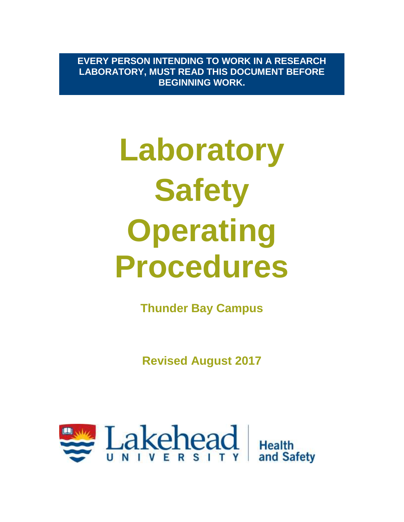**EVERY PERSON INTENDING TO WORK IN A RESEARCH LABORATORY, MUST READ THIS DOCUMENT BEFORE BEGINNING WORK.**

# **Laboratory Safety Operating Procedures**

**Thunder Bay Campus**

**Revised August 2017**

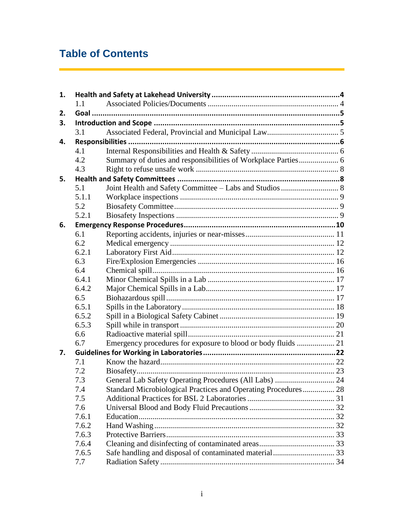# **Table of Contents**

| 1. |       |                                                                 |  |  |  |
|----|-------|-----------------------------------------------------------------|--|--|--|
|    | 1.1   |                                                                 |  |  |  |
| 2. |       |                                                                 |  |  |  |
| 3. |       |                                                                 |  |  |  |
|    | 3.1   |                                                                 |  |  |  |
| 4. |       |                                                                 |  |  |  |
|    | 4.1   |                                                                 |  |  |  |
|    | 4.2   | Summary of duties and responsibilities of Workplace Parties 6   |  |  |  |
|    | 4.3   |                                                                 |  |  |  |
| 5. |       |                                                                 |  |  |  |
|    | 5.1   |                                                                 |  |  |  |
|    | 5.1.1 |                                                                 |  |  |  |
|    | 5.2   |                                                                 |  |  |  |
|    | 5.2.1 |                                                                 |  |  |  |
| 6. |       |                                                                 |  |  |  |
|    | 6.1   |                                                                 |  |  |  |
|    | 6.2   |                                                                 |  |  |  |
|    | 6.2.1 |                                                                 |  |  |  |
|    | 6.3   |                                                                 |  |  |  |
|    | 6.4   |                                                                 |  |  |  |
|    | 6.4.1 |                                                                 |  |  |  |
|    | 6.4.2 |                                                                 |  |  |  |
|    | 6.5   |                                                                 |  |  |  |
|    | 6.5.1 |                                                                 |  |  |  |
|    | 6.5.2 |                                                                 |  |  |  |
|    | 6.5.3 |                                                                 |  |  |  |
|    | 6.6   |                                                                 |  |  |  |
|    | 6.7   | Emergency procedures for exposure to blood or body fluids  21   |  |  |  |
| 7. |       |                                                                 |  |  |  |
|    | 7.1   |                                                                 |  |  |  |
|    | 7.2   |                                                                 |  |  |  |
|    | 7.3   |                                                                 |  |  |  |
|    | 7.4   | Standard Microbiological Practices and Operating Procedures  28 |  |  |  |
|    | 7.5   |                                                                 |  |  |  |
|    | 7.6   |                                                                 |  |  |  |
|    | 7.6.1 |                                                                 |  |  |  |
|    | 7.6.2 |                                                                 |  |  |  |
|    | 7.6.3 |                                                                 |  |  |  |
|    | 7.6.4 |                                                                 |  |  |  |
|    | 7.6.5 |                                                                 |  |  |  |
|    | 7.7   |                                                                 |  |  |  |

÷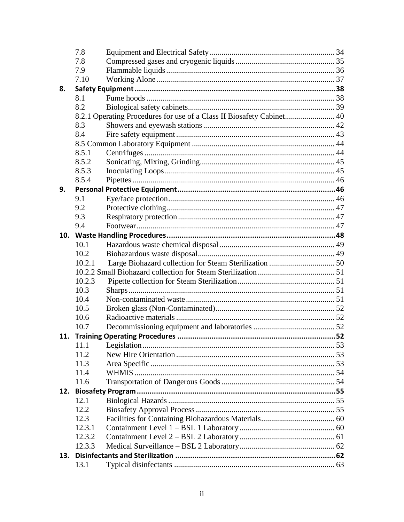|     | 7.8          |                                                                       |  |  |  |
|-----|--------------|-----------------------------------------------------------------------|--|--|--|
|     | 7.8          |                                                                       |  |  |  |
|     | 7.9          |                                                                       |  |  |  |
|     | 7.10         |                                                                       |  |  |  |
| 8.  |              |                                                                       |  |  |  |
|     | 8.1          |                                                                       |  |  |  |
|     | 8.2          |                                                                       |  |  |  |
|     |              | 8.2.1 Operating Procedures for use of a Class II Biosafety Cabinet 40 |  |  |  |
|     | 8.3          |                                                                       |  |  |  |
|     | 8.4          |                                                                       |  |  |  |
|     |              |                                                                       |  |  |  |
|     | 8.5.1        |                                                                       |  |  |  |
|     | 8.5.2        |                                                                       |  |  |  |
|     | 8.5.3        |                                                                       |  |  |  |
|     | 8.5.4        |                                                                       |  |  |  |
| 9.  |              |                                                                       |  |  |  |
|     | 9.1          |                                                                       |  |  |  |
|     | 9.2          |                                                                       |  |  |  |
|     | 9.3          |                                                                       |  |  |  |
|     | 9.4          |                                                                       |  |  |  |
|     |              |                                                                       |  |  |  |
|     | 10.1<br>10.2 |                                                                       |  |  |  |
|     | 10.2.1       |                                                                       |  |  |  |
|     |              |                                                                       |  |  |  |
|     | 10.2.3       |                                                                       |  |  |  |
|     | 10.3         |                                                                       |  |  |  |
|     | 10.4         |                                                                       |  |  |  |
|     | 10.5         |                                                                       |  |  |  |
|     | 10.6         |                                                                       |  |  |  |
|     | 10.7         |                                                                       |  |  |  |
|     |              |                                                                       |  |  |  |
|     | 11.1         |                                                                       |  |  |  |
|     | 11.2         |                                                                       |  |  |  |
|     | 11.3         |                                                                       |  |  |  |
|     | 11.4         |                                                                       |  |  |  |
|     | 11.6         |                                                                       |  |  |  |
|     |              |                                                                       |  |  |  |
|     | 12.1         |                                                                       |  |  |  |
|     | 12.2         |                                                                       |  |  |  |
|     | 12.3         |                                                                       |  |  |  |
|     | 12.3.1       |                                                                       |  |  |  |
|     | 12.3.2       |                                                                       |  |  |  |
|     | 12.3.3       |                                                                       |  |  |  |
| 13. |              |                                                                       |  |  |  |
|     | 13.1         |                                                                       |  |  |  |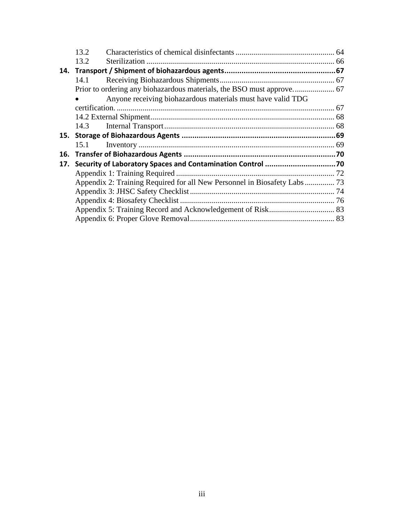|     | 13.2 |                                                             |  |
|-----|------|-------------------------------------------------------------|--|
|     | 13.2 |                                                             |  |
|     |      |                                                             |  |
|     | 14.1 |                                                             |  |
|     |      |                                                             |  |
|     |      | Anyone receiving biohazardous materials must have valid TDG |  |
|     |      |                                                             |  |
|     |      |                                                             |  |
|     |      |                                                             |  |
|     |      |                                                             |  |
|     | 15.1 |                                                             |  |
| 16. |      |                                                             |  |
|     |      |                                                             |  |
|     |      |                                                             |  |
|     |      |                                                             |  |
|     |      |                                                             |  |
|     |      |                                                             |  |
|     |      |                                                             |  |
|     |      |                                                             |  |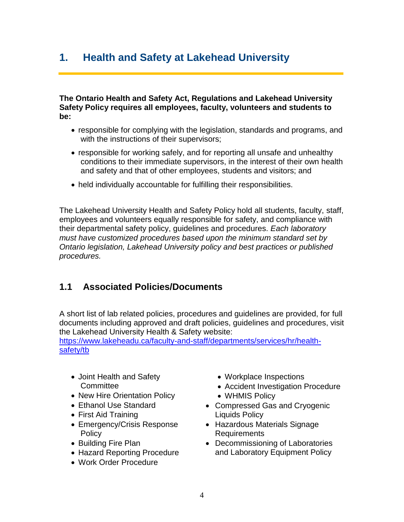# <span id="page-4-0"></span>**1. Health and Safety at Lakehead University**

**The Ontario Health and Safety Act, Regulations and Lakehead University Safety Policy requires all employees, faculty, volunteers and students to be:**

- responsible for complying with the legislation, standards and programs, and with the instructions of their supervisors;
- responsible for working safely, and for reporting all unsafe and unhealthy conditions to their immediate supervisors, in the interest of their own health and safety and that of other employees, students and visitors; and
- held individually accountable for fulfilling their responsibilities.

The Lakehead University Health and Safety Policy hold all students, faculty, staff, employees and volunteers equally responsible for safety, and compliance with their departmental safety policy, guidelines and procedures. *Each laboratory must have customized procedures based upon the minimum standard set by Ontario legislation, Lakehead University policy and best practices or published procedures.* 

# <span id="page-4-1"></span>**1.1 Associated Policies/Documents**

A short list of lab related policies, procedures and guidelines are provided, for full documents including approved and draft policies, guidelines and procedures, visit the Lakehead University Health & Safety website:

[https://www.lakeheadu.ca/faculty-and-staff/departments/services/hr/health](https://www.lakeheadu.ca/faculty-and-staff/departments/services/hr/health-safety/tb)[safety/tb](https://www.lakeheadu.ca/faculty-and-staff/departments/services/hr/health-safety/tb)

- Joint Health and Safety **Committee**
- New Hire Orientation Policy
- Ethanol Use Standard
- First Aid Training
- Emergency/Crisis Response **Policy**
- Building Fire Plan
- Hazard Reporting Procedure
- Work Order Procedure
- Workplace Inspections
- Accident Investigation Procedure
- WHMIS Policy
- Compressed Gas and Cryogenic Liquids Policy
- Hazardous Materials Signage Requirements
- Decommissioning of Laboratories and Laboratory Equipment Policy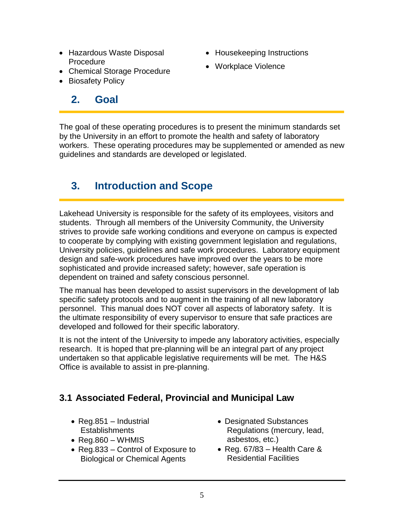- Hazardous Waste Disposal Procedure
- Chemical Storage Procedure
- <span id="page-5-0"></span>• Biosafety Policy

# **2. Goal**

The goal of these operating procedures is to present the minimum standards set by the University in an effort to promote the health and safety of laboratory workers. These operating procedures may be supplemented or amended as new guidelines and standards are developed or legislated.

• Housekeeping Instructions

• Workplace Violence

# <span id="page-5-1"></span>**3. Introduction and Scope**

Lakehead University is responsible for the safety of its employees, visitors and students. Through all members of the University Community, the University strives to provide safe working conditions and everyone on campus is expected to cooperate by complying with existing government legislation and regulations, University policies, guidelines and safe work procedures. Laboratory equipment design and safe-work procedures have improved over the years to be more sophisticated and provide increased safety; however, safe operation is dependent on trained and safety conscious personnel.

The manual has been developed to assist supervisors in the development of lab specific safety protocols and to augment in the training of all new laboratory personnel. This manual does NOT cover all aspects of laboratory safety. It is the ultimate responsibility of every supervisor to ensure that safe practices are developed and followed for their specific laboratory.

It is not the intent of the University to impede any laboratory activities, especially research. It is hoped that pre-planning will be an integral part of any project undertaken so that applicable legislative requirements will be met. The H&S Office is available to assist in pre-planning.

# <span id="page-5-2"></span>**3.1 Associated Federal, Provincial and Municipal Law**

- Reg.851 Industrial Establishments
- $\bullet$  Reg.860 WHMIS
- Reg.833 Control of Exposure to Biological or Chemical Agents
- Designated Substances Regulations (mercury, lead, asbestos, etc.)
- Reg.  $67/83$  Health Care & Residential Facilities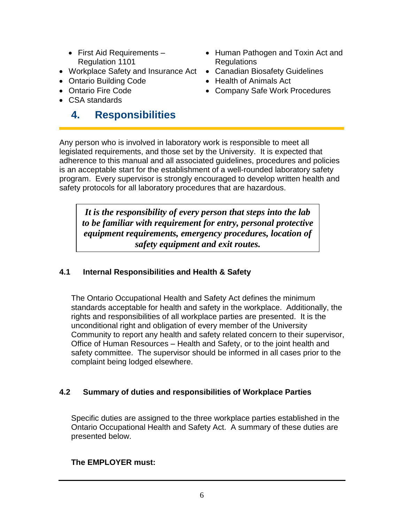- First Aid Requirements Regulation 1101
- Workplace Safety and Insurance Act Canadian Biosafety Guidelines
- Ontario Building Code
- Ontario Fire Code
- <span id="page-6-0"></span>CSA standards

# **4. Responsibilities**

- Human Pathogen and Toxin Act and **Regulations**
- 
- Health of Animals Act
- Company Safe Work Procedures

Any person who is involved in laboratory work is responsible to meet all legislated requirements, and those set by the University. It is expected that adherence to this manual and all associated guidelines, procedures and policies is an acceptable start for the establishment of a well-rounded laboratory safety program. Every supervisor is strongly encouraged to develop written health and safety protocols for all laboratory procedures that are hazardous.

*It is the responsibility of every person that steps into the lab to be familiar with requirement for entry, personal protective equipment requirements, emergency procedures, location of safety equipment and exit routes.*

## <span id="page-6-1"></span>**4.1 Internal Responsibilities and Health & Safety**

The Ontario Occupational Health and Safety Act defines the minimum standards acceptable for health and safety in the workplace. Additionally, the rights and responsibilities of all workplace parties are presented. It is the unconditional right and obligation of every member of the University Community to report any health and safety related concern to their supervisor, Office of Human Resources – Health and Safety, or to the joint health and safety committee. The supervisor should be informed in all cases prior to the complaint being lodged elsewhere.

## <span id="page-6-2"></span>**4.2 Summary of duties and responsibilities of Workplace Parties**

Specific duties are assigned to the three workplace parties established in the Ontario Occupational Health and Safety Act. A summary of these duties are presented below.

## **The EMPLOYER must:**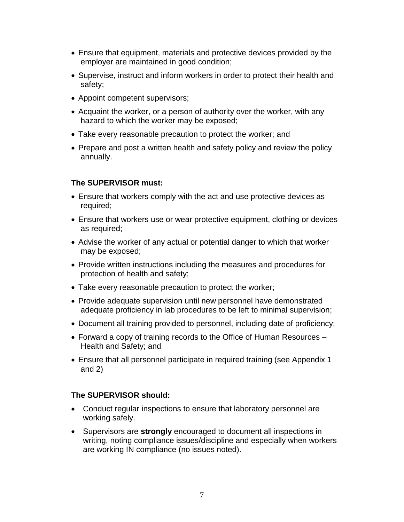- Ensure that equipment, materials and protective devices provided by the employer are maintained in good condition;
- Supervise, instruct and inform workers in order to protect their health and safety;
- Appoint competent supervisors;
- Acquaint the worker, or a person of authority over the worker, with any hazard to which the worker may be exposed;
- Take every reasonable precaution to protect the worker; and
- Prepare and post a written health and safety policy and review the policy annually.

## **The SUPERVISOR must:**

- Ensure that workers comply with the act and use protective devices as required;
- Ensure that workers use or wear protective equipment, clothing or devices as required;
- Advise the worker of any actual or potential danger to which that worker may be exposed;
- Provide written instructions including the measures and procedures for protection of health and safety;
- Take every reasonable precaution to protect the worker;
- Provide adequate supervision until new personnel have demonstrated adequate proficiency in lab procedures to be left to minimal supervision;
- Document all training provided to personnel, including date of proficiency;
- Forward a copy of training records to the Office of Human Resources Health and Safety; and
- Ensure that all personnel participate in required training (see Appendix 1 and 2)

## **The SUPERVISOR should:**

- Conduct regular inspections to ensure that laboratory personnel are working safely.
- Supervisors are **strongly** encouraged to document all inspections in writing, noting compliance issues/discipline and especially when workers are working IN compliance (no issues noted).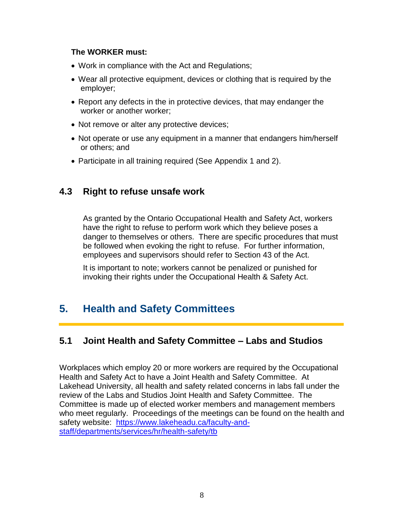#### **The WORKER must:**

- Work in compliance with the Act and Regulations;
- Wear all protective equipment, devices or clothing that is required by the employer;
- Report any defects in the in protective devices, that may endanger the worker or another worker;
- Not remove or alter any protective devices;
- Not operate or use any equipment in a manner that endangers him/herself or others; and
- Participate in all training required (See Appendix 1 and 2).

# <span id="page-8-0"></span>**4.3 Right to refuse unsafe work**

As granted by the Ontario Occupational Health and Safety Act, workers have the right to refuse to perform work which they believe poses a danger to themselves or others. There are specific procedures that must be followed when evoking the right to refuse. For further information, employees and supervisors should refer to Section 43 of the Act.

It is important to note; workers cannot be penalized or punished for invoking their rights under the Occupational Health & Safety Act.

# <span id="page-8-1"></span>**5. Health and Safety Committees**

# <span id="page-8-2"></span>**5.1 Joint Health and Safety Committee – Labs and Studios**

Workplaces which employ 20 or more workers are required by the Occupational Health and Safety Act to have a Joint Health and Safety Committee. At Lakehead University, all health and safety related concerns in labs fall under the review of the Labs and Studios Joint Health and Safety Committee. The Committee is made up of elected worker members and management members who meet regularly. Proceedings of the meetings can be found on the health and safety website: [https://www.lakeheadu.ca/faculty-and](https://www.lakeheadu.ca/faculty-and-staff/departments/services/hr/health-safety/tb)[staff/departments/services/hr/health-safety/tb](https://www.lakeheadu.ca/faculty-and-staff/departments/services/hr/health-safety/tb)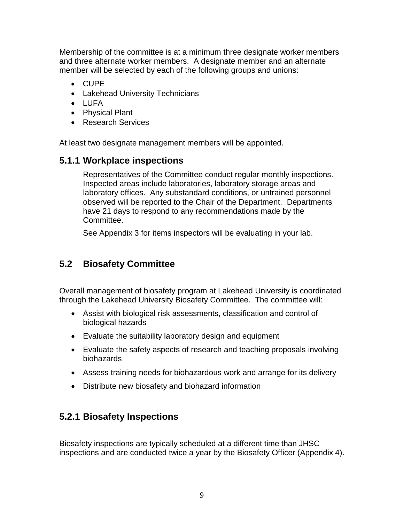Membership of the committee is at a minimum three designate worker members and three alternate worker members. A designate member and an alternate member will be selected by each of the following groups and unions:

- CUPE
- Lakehead University Technicians
- LUFA
- Physical Plant
- Research Services

At least two designate management members will be appointed.

# <span id="page-9-0"></span>**5.1.1 Workplace inspections**

Representatives of the Committee conduct regular monthly inspections. Inspected areas include laboratories, laboratory storage areas and laboratory offices. Any substandard conditions, or untrained personnel observed will be reported to the Chair of the Department. Departments have 21 days to respond to any recommendations made by the Committee.

See Appendix 3 for items inspectors will be evaluating in your lab.

# <span id="page-9-1"></span>**5.2 Biosafety Committee**

Overall management of biosafety program at Lakehead University is coordinated through the Lakehead University Biosafety Committee. The committee will:

- Assist with biological risk assessments, classification and control of biological hazards
- Evaluate the suitability laboratory design and equipment
- Evaluate the safety aspects of research and teaching proposals involving biohazards
- Assess training needs for biohazardous work and arrange for its delivery
- Distribute new biosafety and biohazard information

# <span id="page-9-2"></span>**5.2.1 Biosafety Inspections**

Biosafety inspections are typically scheduled at a different time than JHSC inspections and are conducted twice a year by the Biosafety Officer (Appendix 4).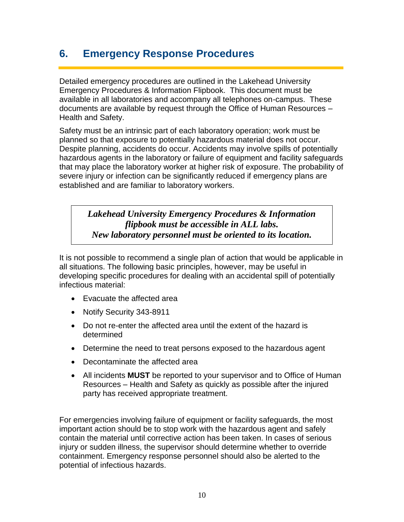# <span id="page-10-0"></span>**6. Emergency Response Procedures**

Detailed emergency procedures are outlined in the Lakehead University Emergency Procedures & Information Flipbook. This document must be available in all laboratories and accompany all telephones on-campus. These documents are available by request through the Office of Human Resources – Health and Safety.

Safety must be an intrinsic part of each laboratory operation; work must be planned so that exposure to potentially hazardous material does not occur. Despite planning, accidents do occur. Accidents may involve spills of potentially hazardous agents in the laboratory or failure of equipment and facility safeguards that may place the laboratory worker at higher risk of exposure. The probability of severe injury or infection can be significantly reduced if emergency plans are established and are familiar to laboratory workers.

*Lakehead University Emergency Procedures & Information flipbook must be accessible in ALL labs. New laboratory personnel must be oriented to its location.*

It is not possible to recommend a single plan of action that would be applicable in all situations. The following basic principles, however, may be useful in developing specific procedures for dealing with an accidental spill of potentially infectious material:

- Evacuate the affected area
- Notify Security 343-8911
- Do not re-enter the affected area until the extent of the hazard is determined
- Determine the need to treat persons exposed to the hazardous agent
- Decontaminate the affected area
- All incidents **MUST** be reported to your supervisor and to Office of Human Resources – Health and Safety as quickly as possible after the injured party has received appropriate treatment.

For emergencies involving failure of equipment or facility safeguards, the most important action should be to stop work with the hazardous agent and safely contain the material until corrective action has been taken. In cases of serious injury or sudden illness, the supervisor should determine whether to override containment. Emergency response personnel should also be alerted to the potential of infectious hazards.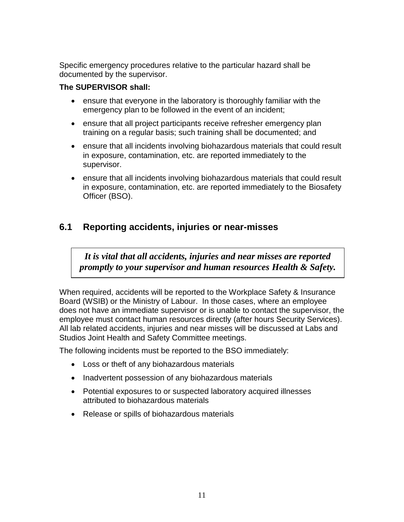Specific emergency procedures relative to the particular hazard shall be documented by the supervisor.

## **The SUPERVISOR shall:**

- ensure that everyone in the laboratory is thoroughly familiar with the emergency plan to be followed in the event of an incident;
- ensure that all project participants receive refresher emergency plan training on a regular basis; such training shall be documented; and
- ensure that all incidents involving biohazardous materials that could result in exposure, contamination, etc. are reported immediately to the supervisor.
- ensure that all incidents involving biohazardous materials that could result in exposure, contamination, etc. are reported immediately to the Biosafety Officer (BSO).

# <span id="page-11-0"></span>**6.1 Reporting accidents, injuries or near-misses**

*It is vital that all accidents, injuries and near misses are reported promptly to your supervisor and human resources Health & Safety.*

When required, accidents will be reported to the Workplace Safety & Insurance Board (WSIB) or the Ministry of Labour. In those cases, where an employee does not have an immediate supervisor or is unable to contact the supervisor, the employee must contact human resources directly (after hours Security Services). All lab related accidents, injuries and near misses will be discussed at Labs and Studios Joint Health and Safety Committee meetings.

The following incidents must be reported to the BSO immediately:

- Loss or theft of any biohazardous materials
- Inadvertent possession of any biohazardous materials
- Potential exposures to or suspected laboratory acquired illnesses attributed to biohazardous materials
- Release or spills of biohazardous materials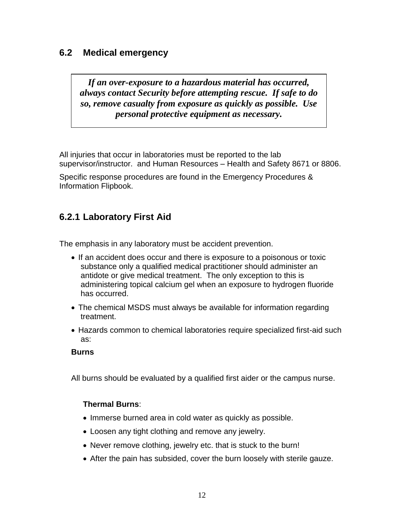## <span id="page-12-0"></span>**6.2 Medical emergency**

*If an over-exposure to a hazardous material has occurred, always contact Security before attempting rescue. If safe to do so, remove casualty from exposure as quickly as possible. Use personal protective equipment as necessary.*

All injuries that occur in laboratories must be reported to the lab supervisor/instructor. and Human Resources – Health and Safety 8671 or 8806.

Specific response procedures are found in the Emergency Procedures & Information Flipbook.

# <span id="page-12-1"></span>**6.2.1 Laboratory First Aid**

The emphasis in any laboratory must be accident prevention.

- If an accident does occur and there is exposure to a poisonous or toxic substance only a qualified medical practitioner should administer an antidote or give medical treatment. The only exception to this is administering topical calcium gel when an exposure to hydrogen fluoride has occurred.
- The chemical MSDS must always be available for information regarding treatment.
- Hazards common to chemical laboratories require specialized first-aid such as:

#### **Burns**

All burns should be evaluated by a qualified first aider or the campus nurse.

## **Thermal Burns**:

- Immerse burned area in cold water as quickly as possible.
- Loosen any tight clothing and remove any jewelry.
- Never remove clothing, jewelry etc. that is stuck to the burn!
- After the pain has subsided, cover the burn loosely with sterile gauze.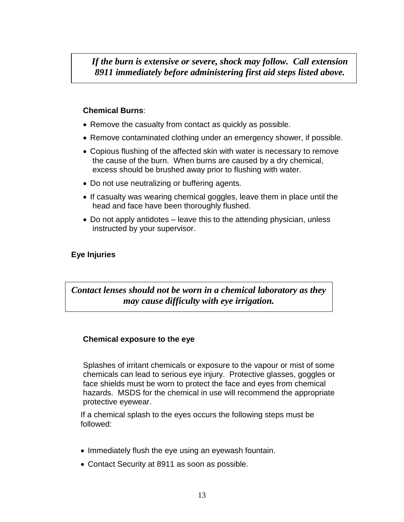*If the burn is extensive or severe, shock may follow. Call extension 8911 immediately before administering first aid steps listed above.*

#### **Chemical Burns**:

- Remove the casualty from contact as quickly as possible.
- Remove contaminated clothing under an emergency shower, if possible.
- Copious flushing of the affected skin with water is necessary to remove the cause of the burn. When burns are caused by a dry chemical, excess should be brushed away prior to flushing with water.
- Do not use neutralizing or buffering agents.
- If casualty was wearing chemical goggles, leave them in place until the head and face have been thoroughly flushed.
- Do not apply antidotes leave this to the attending physician, unless instructed by your supervisor.

## **Eye Injuries**

*Contact lenses should not be worn in a chemical laboratory as they may cause difficulty with eye irrigation.*

## **Chemical exposure to the eye**

Splashes of irritant chemicals or exposure to the vapour or mist of some chemicals can lead to serious eye injury. Protective glasses, goggles or face shields must be worn to protect the face and eyes from chemical hazards. MSDS for the chemical in use will recommend the appropriate protective eyewear.

If a chemical splash to the eyes occurs the following steps must be followed:

- Immediately flush the eye using an eyewash fountain.
- Contact Security at 8911 as soon as possible.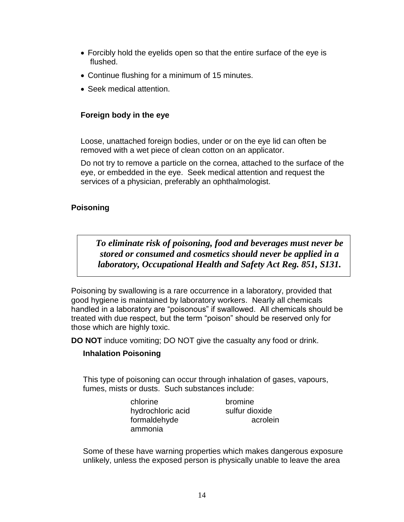- Forcibly hold the eyelids open so that the entire surface of the eye is flushed.
- Continue flushing for a minimum of 15 minutes.
- Seek medical attention.

## **Foreign body in the eye**

Loose, unattached foreign bodies, under or on the eye lid can often be removed with a wet piece of clean cotton on an applicator.

Do not try to remove a particle on the cornea, attached to the surface of the eye, or embedded in the eye. Seek medical attention and request the services of a physician, preferably an ophthalmologist.

## **Poisoning**

*To eliminate risk of poisoning, food and beverages must never be stored or consumed and cosmetics should never be applied in a laboratory, Occupational Health and Safety Act Reg. 851, S131.*

Poisoning by swallowing is a rare occurrence in a laboratory, provided that good hygiene is maintained by laboratory workers. Nearly all chemicals handled in a laboratory are "poisonous" if swallowed. All chemicals should be treated with due respect, but the term "poison" should be reserved only for those which are highly toxic.

**DO NOT** induce vomiting; DO NOT give the casualty any food or drink.

## **Inhalation Poisoning**

This type of poisoning can occur through inhalation of gases, vapours, fumes, mists or dusts. Such substances include:

> chlorine bromine hydrochloric acid sulfur dioxide formaldehyde acrolein ammonia

Some of these have warning properties which makes dangerous exposure unlikely, unless the exposed person is physically unable to leave the area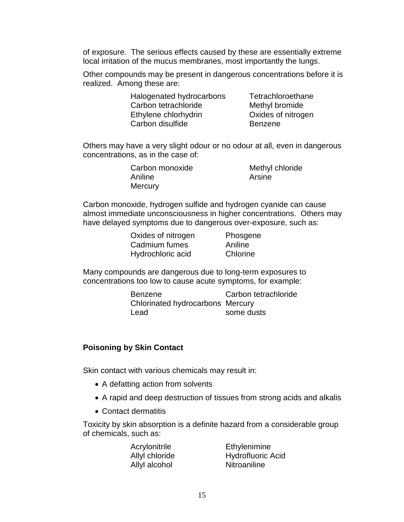of exposure. The serious effects caused by these are essentially extreme local irritation of the mucus membranes, most importantly the lungs.

Other compounds may be present in dangerous concentrations before it is realized. Among these are:

> Halogenated hydrocarbons Tetrachloroethane Carbon tetrachloride Methyl bromide Ethylene chlorhydrin Oxides of nitrogen Carbon disulfide Benzene

Others may have a very slight odour or no odour at all, even in dangerous concentrations, as in the case of:

| Carbon monoxide | Methyl chloride |
|-----------------|-----------------|
| Aniline         | Arsine          |
| Mercury         |                 |

Carbon monoxide, hydrogen sulfide and hydrogen cyanide can cause almost immediate unconsciousness in higher concentrations. Others may have delayed symptoms due to dangerous over-exposure, such as:

| Oxides of nitrogen | Phosgene |
|--------------------|----------|
| Cadmium fumes      | Aniline  |
| Hydrochloric acid  | Chlorine |

Many compounds are dangerous due to long-term exposures to concentrations too low to cause acute symptoms, for example:

> Benzene Carbon tetrachloride Chlorinated hydrocarbons Mercury Lead some dusts

#### **Poisoning by Skin Contact**

Skin contact with various chemicals may result in:

- A defatting action from solvents
- A rapid and deep destruction of tissues from strong acids and alkalis
- Contact dermatitis

Toxicity by skin absorption is a definite hazard from a considerable group of chemicals, such as:

| Acrylonitrile  | Ethylenimine             |
|----------------|--------------------------|
| Allyl chloride | <b>Hydrofluoric Acid</b> |
| Allyl alcohol  | Nitroaniline             |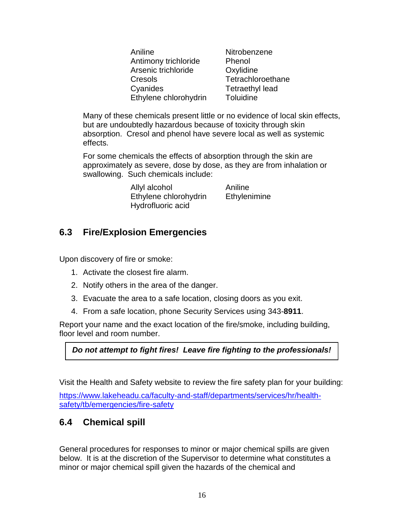Aniline Nitrobenzene Antimony trichloride Phenol Arsenic trichloride Oxylidine Cresols Tetrachloroethane Cyanides Tetraethyl lead Ethylene chlorohydrin Toluidine

Many of these chemicals present little or no evidence of local skin effects, but are undoubtedly hazardous because of toxicity through skin absorption. Cresol and phenol have severe local as well as systemic effects.

For some chemicals the effects of absorption through the skin are approximately as severe, dose by dose, as they are from inhalation or swallowing. Such chemicals include:

> Allyl alcohol Aniline Ethylene chlorohydrin Ethylenimine Hydrofluoric acid

# <span id="page-16-0"></span>**6.3 Fire/Explosion Emergencies**

Upon discovery of fire or smoke:

- 1. Activate the closest fire alarm.
- 2. Notify others in the area of the danger.
- 3. Evacuate the area to a safe location, closing doors as you exit.
- 4. From a safe location, phone Security Services using 343-**8911**.

Report your name and the exact location of the fire/smoke, including building, floor level and room number.

# *Do not attempt to fight fires! Leave fire fighting to the professionals!*

Visit the Health and Safety website to review the fire safety plan for your building:

[https://www.lakeheadu.ca/faculty-and-staff/departments/services/hr/health](https://www.lakeheadu.ca/faculty-and-staff/departments/services/hr/health-safety/tb/emergencies/fire-safety)[safety/tb/emergencies/fire-safety](https://www.lakeheadu.ca/faculty-and-staff/departments/services/hr/health-safety/tb/emergencies/fire-safety)

# <span id="page-16-1"></span>**6.4 Chemical spill**

General procedures for responses to minor or major chemical spills are given below. It is at the discretion of the Supervisor to determine what constitutes a minor or major chemical spill given the hazards of the chemical and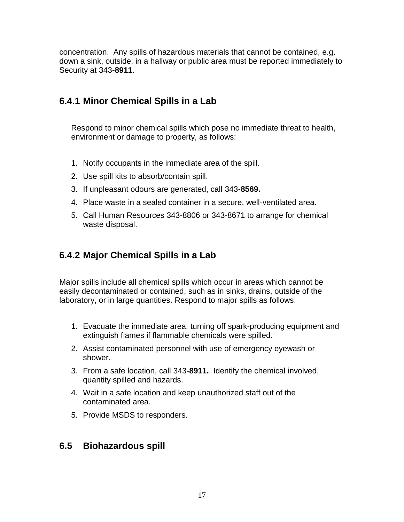concentration. Any spills of hazardous materials that cannot be contained, e.g. down a sink, outside, in a hallway or public area must be reported immediately to Security at 343-**8911**.

# <span id="page-17-0"></span>**6.4.1 Minor Chemical Spills in a Lab**

Respond to minor chemical spills which pose no immediate threat to health, environment or damage to property, as follows:

- 1. Notify occupants in the immediate area of the spill.
- 2. Use spill kits to absorb/contain spill.
- 3. If unpleasant odours are generated, call 343-**8569.**
- 4. Place waste in a sealed container in a secure, well-ventilated area.
- 5. Call Human Resources 343-8806 or 343-8671 to arrange for chemical waste disposal.

# <span id="page-17-1"></span>**6.4.2 Major Chemical Spills in a Lab**

Major spills include all chemical spills which occur in areas which cannot be easily decontaminated or contained, such as in sinks, drains, outside of the laboratory, or in large quantities. Respond to major spills as follows:

- 1. Evacuate the immediate area, turning off spark-producing equipment and extinguish flames if flammable chemicals were spilled.
- 2. Assist contaminated personnel with use of emergency eyewash or shower.
- 3. From a safe location, call 343-**8911.** Identify the chemical involved, quantity spilled and hazards.
- 4. Wait in a safe location and keep unauthorized staff out of the contaminated area.
- 5. Provide MSDS to responders.

# <span id="page-17-2"></span>**6.5 Biohazardous spill**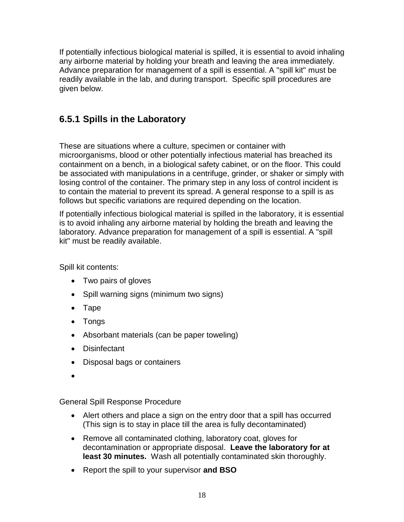If potentially infectious biological material is spilled, it is essential to avoid inhaling any airborne material by holding your breath and leaving the area immediately. Advance preparation for management of a spill is essential. A "spill kit" must be readily available in the lab, and during transport. Specific spill procedures are given below.

# <span id="page-18-0"></span>**6.5.1 Spills in the Laboratory**

These are situations where a culture, specimen or container with microorganisms, blood or other potentially infectious material has breached its containment on a bench, in a biological safety cabinet, or on the floor. This could be associated with manipulations in a centrifuge, grinder, or shaker or simply with losing control of the container. The primary step in any loss of control incident is to contain the material to prevent its spread. A general response to a spill is as follows but specific variations are required depending on the location.

If potentially infectious biological material is spilled in the laboratory, it is essential is to avoid inhaling any airborne material by holding the breath and leaving the laboratory. Advance preparation for management of a spill is essential. A "spill kit" must be readily available.

Spill kit contents:

- Two pairs of gloves
- Spill warning signs (minimum two signs)
- Tape
- Tongs
- Absorbant materials (can be paper toweling)
- Disinfectant
- Disposal bags or containers
- $\bullet$

General Spill Response Procedure

- Alert others and place a sign on the entry door that a spill has occurred (This sign is to stay in place till the area is fully decontaminated)
- Remove all contaminated clothing, laboratory coat, gloves for decontamination or appropriate disposal. **Leave the laboratory for at least 30 minutes.** Wash all potentially contaminated skin thoroughly.
- Report the spill to your supervisor **and BSO**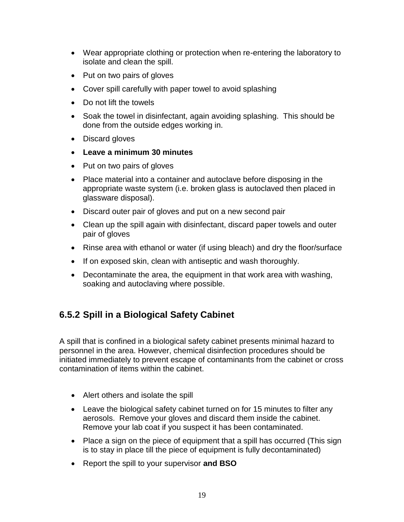- Wear appropriate clothing or protection when re-entering the laboratory to isolate and clean the spill.
- Put on two pairs of gloves
- Cover spill carefully with paper towel to avoid splashing
- Do not lift the towels
- Soak the towel in disinfectant, again avoiding splashing. This should be done from the outside edges working in.
- Discard gloves
- **Leave a minimum 30 minutes**
- Put on two pairs of gloves
- Place material into a container and autoclave before disposing in the appropriate waste system (i.e. broken glass is autoclaved then placed in glassware disposal).
- Discard outer pair of gloves and put on a new second pair
- Clean up the spill again with disinfectant, discard paper towels and outer pair of gloves
- Rinse area with ethanol or water (if using bleach) and dry the floor/surface
- If on exposed skin, clean with antiseptic and wash thoroughly.
- Decontaminate the area, the equipment in that work area with washing, soaking and autoclaving where possible.

# <span id="page-19-0"></span>**6.5.2 Spill in a Biological Safety Cabinet**

A spill that is confined in a biological safety cabinet presents minimal hazard to personnel in the area. However, chemical disinfection procedures should be initiated immediately to prevent escape of contaminants from the cabinet or cross contamination of items within the cabinet.

- Alert others and isolate the spill
- Leave the biological safety cabinet turned on for 15 minutes to filter any aerosols. Remove your gloves and discard them inside the cabinet. Remove your lab coat if you suspect it has been contaminated.
- Place a sign on the piece of equipment that a spill has occurred (This sign is to stay in place till the piece of equipment is fully decontaminated)
- Report the spill to your supervisor **and BSO**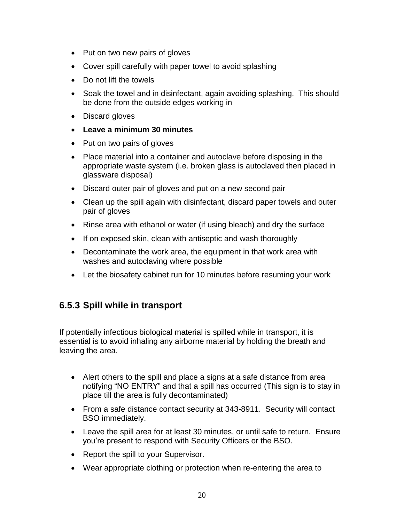- Put on two new pairs of gloves
- Cover spill carefully with paper towel to avoid splashing
- Do not lift the towels
- Soak the towel and in disinfectant, again avoiding splashing. This should be done from the outside edges working in
- Discard gloves
- **Leave a minimum 30 minutes**
- Put on two pairs of gloves
- Place material into a container and autoclave before disposing in the appropriate waste system (i.e. broken glass is autoclaved then placed in glassware disposal)
- Discard outer pair of gloves and put on a new second pair
- Clean up the spill again with disinfectant, discard paper towels and outer pair of gloves
- Rinse area with ethanol or water (if using bleach) and dry the surface
- If on exposed skin, clean with antiseptic and wash thoroughly
- Decontaminate the work area, the equipment in that work area with washes and autoclaving where possible
- Let the biosafety cabinet run for 10 minutes before resuming your work

# <span id="page-20-0"></span>**6.5.3 Spill while in transport**

If potentially infectious biological material is spilled while in transport, it is essential is to avoid inhaling any airborne material by holding the breath and leaving the area.

- Alert others to the spill and place a signs at a safe distance from area notifying "NO ENTRY" and that a spill has occurred (This sign is to stay in place till the area is fully decontaminated)
- From a safe distance contact security at 343-8911. Security will contact BSO immediately.
- Leave the spill area for at least 30 minutes, or until safe to return. Ensure you're present to respond with Security Officers or the BSO.
- Report the spill to your Supervisor.
- Wear appropriate clothing or protection when re-entering the area to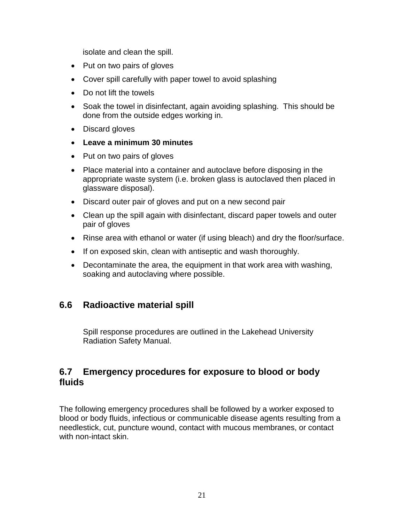isolate and clean the spill.

- Put on two pairs of gloves
- Cover spill carefully with paper towel to avoid splashing
- Do not lift the towels
- Soak the towel in disinfectant, again avoiding splashing. This should be done from the outside edges working in.
- Discard gloves
- **Leave a minimum 30 minutes**
- Put on two pairs of gloves
- Place material into a container and autoclave before disposing in the appropriate waste system (i.e. broken glass is autoclaved then placed in glassware disposal).
- Discard outer pair of gloves and put on a new second pair
- Clean up the spill again with disinfectant, discard paper towels and outer pair of gloves
- Rinse area with ethanol or water (if using bleach) and dry the floor/surface.
- If on exposed skin, clean with antiseptic and wash thoroughly.
- Decontaminate the area, the equipment in that work area with washing, soaking and autoclaving where possible.

# <span id="page-21-0"></span>**6.6 Radioactive material spill**

Spill response procedures are outlined in the Lakehead University Radiation Safety Manual.

# <span id="page-21-1"></span>**6.7 Emergency procedures for exposure to blood or body fluids**

The following emergency procedures shall be followed by a worker exposed to blood or body fluids, infectious or communicable disease agents resulting from a needlestick, cut, puncture wound, contact with mucous membranes, or contact with non-intact skin.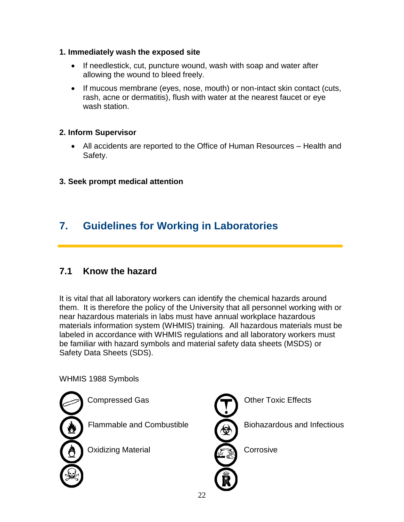## **1. Immediately wash the exposed site**

- If needlestick, cut, puncture wound, wash with soap and water after allowing the wound to bleed freely.
- If mucous membrane (eyes, nose, mouth) or non-intact skin contact (cuts, rash, acne or dermatitis), flush with water at the nearest faucet or eye wash station.

## **2. Inform Supervisor**

- All accidents are reported to the Office of Human Resources Health and Safety.
- **3. Seek prompt medical attention**

# <span id="page-22-0"></span>**7. Guidelines for Working in Laboratories**

# <span id="page-22-1"></span>**7.1 Know the hazard**

It is vital that all laboratory workers can identify the chemical hazards around them. It is therefore the policy of the University that all personnel working with or near hazardous materials in labs must have annual workplace hazardous materials information system (WHMIS) training. All hazardous materials must be labeled in accordance with WHMIS regulations and all laboratory workers must be familiar with hazard symbols and material safety data sheets (MSDS) or Safety Data Sheets (SDS).

WHMIS 1988 Symbols

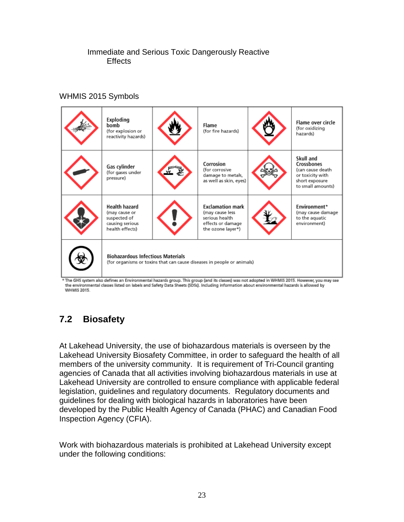## Immediate and Serious Toxic Dangerously Reactive **Effects**

## WHMIS 2015 Symbols

|                                                                                                                                                                                                                                                                     | Exploding<br>bomb<br>(for explosion or<br>reactivity hazards)                        |  | Flame<br>(for fire hazards)                                                                            | Flame over circle<br>(for oxidizing<br>hazards)                                                        |
|---------------------------------------------------------------------------------------------------------------------------------------------------------------------------------------------------------------------------------------------------------------------|--------------------------------------------------------------------------------------|--|--------------------------------------------------------------------------------------------------------|--------------------------------------------------------------------------------------------------------|
|                                                                                                                                                                                                                                                                     | Gas cylinder<br>(for gases under<br>pressure)                                        |  | Corrosion<br>(for corrosive<br>damage to metals,<br>as well as skin, eyes)                             | Skull and<br>Crossbones<br>(can cause death<br>or toxicity with<br>short exposure<br>to small amounts) |
|                                                                                                                                                                                                                                                                     | Health hazard<br>(may cause or<br>suspected of<br>causing serious<br>health effects) |  | <b>Exclamation mark</b><br>(may cause less<br>serious health<br>effects or damage<br>the ozone layer*) | Environment*<br>(may cause damage<br>to the aquatic<br>environment)                                    |
| <b>Biohazardous Infectious Materials</b><br>(for organisms or toxins that can cause diseases in people or animals)<br>* The GHS system also defines an Equippemental hazards appum. This group (and its classes) was not adopted in WHMIS 2015. However you may see |                                                                                      |  |                                                                                                        |                                                                                                        |

the environmental classes listed on labels and Safety Data Sheets (SDSs). Including information about environmental hazards is allowed by **WHMIS 2015.** 

# <span id="page-23-0"></span>**7.2 Biosafety**

At Lakehead University, the use of biohazardous materials is overseen by the Lakehead University Biosafety Committee, in order to safeguard the health of all members of the university community. It is requirement of Tri-Council granting agencies of Canada that all activities involving biohazardous materials in use at Lakehead University are controlled to ensure compliance with applicable federal legislation, guidelines and regulatory documents. Regulatory documents and guidelines for dealing with biological hazards in laboratories have been developed by the Public Health Agency of Canada (PHAC) and Canadian Food Inspection Agency (CFIA).

Work with biohazardous materials is prohibited at Lakehead University except under the following conditions: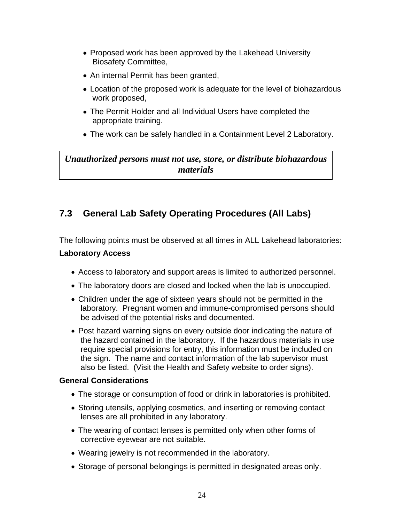- Proposed work has been approved by the Lakehead University Biosafety Committee,
- An internal Permit has been granted,
- Location of the proposed work is adequate for the level of biohazardous work proposed,
- The Permit Holder and all Individual Users have completed the appropriate training.
- The work can be safely handled in a Containment Level 2 Laboratory.

*Unauthorized persons must not use, store, or distribute biohazardous materials*

# <span id="page-24-0"></span>**7.3 General Lab Safety Operating Procedures (All Labs)**

The following points must be observed at all times in ALL Lakehead laboratories:

## **Laboratory Access**

- Access to laboratory and support areas is limited to authorized personnel.
- The laboratory doors are closed and locked when the lab is unoccupied.
- Children under the age of sixteen years should not be permitted in the laboratory. Pregnant women and immune-compromised persons should be advised of the potential risks and documented.
- Post hazard warning signs on every outside door indicating the nature of the hazard contained in the laboratory. If the hazardous materials in use require special provisions for entry, this information must be included on the sign. The name and contact information of the lab supervisor must also be listed. (Visit the Health and Safety website to order signs).

## **General Considerations**

- The storage or consumption of food or drink in laboratories is prohibited.
- Storing utensils, applying cosmetics, and inserting or removing contact lenses are all prohibited in any laboratory.
- The wearing of contact lenses is permitted only when other forms of corrective eyewear are not suitable.
- Wearing jewelry is not recommended in the laboratory.
- Storage of personal belongings is permitted in designated areas only.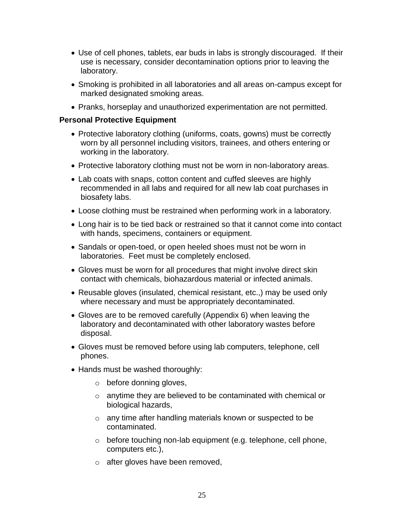- Use of cell phones, tablets, ear buds in labs is strongly discouraged. If their use is necessary, consider decontamination options prior to leaving the laboratory.
- Smoking is prohibited in all laboratories and all areas on-campus except for marked designated smoking areas.
- Pranks, horseplay and unauthorized experimentation are not permitted.

#### **Personal Protective Equipment**

- Protective laboratory clothing (uniforms, coats, gowns) must be correctly worn by all personnel including visitors, trainees, and others entering or working in the laboratory.
- Protective laboratory clothing must not be worn in non-laboratory areas.
- Lab coats with snaps, cotton content and cuffed sleeves are highly recommended in all labs and required for all new lab coat purchases in biosafety labs.
- Loose clothing must be restrained when performing work in a laboratory.
- Long hair is to be tied back or restrained so that it cannot come into contact with hands, specimens, containers or equipment.
- Sandals or open-toed, or open heeled shoes must not be worn in laboratories. Feet must be completely enclosed.
- Gloves must be worn for all procedures that might involve direct skin contact with chemicals, biohazardous material or infected animals.
- Reusable gloves (insulated, chemical resistant, etc.,) may be used only where necessary and must be appropriately decontaminated.
- Gloves are to be removed carefully (Appendix 6) when leaving the laboratory and decontaminated with other laboratory wastes before disposal.
- Gloves must be removed before using lab computers, telephone, cell phones.
- Hands must be washed thoroughly:
	- o before donning gloves,
	- o anytime they are believed to be contaminated with chemical or biological hazards,
	- o any time after handling materials known or suspected to be contaminated.
	- o before touching non-lab equipment (e.g. telephone, cell phone, computers etc.),
	- o after gloves have been removed,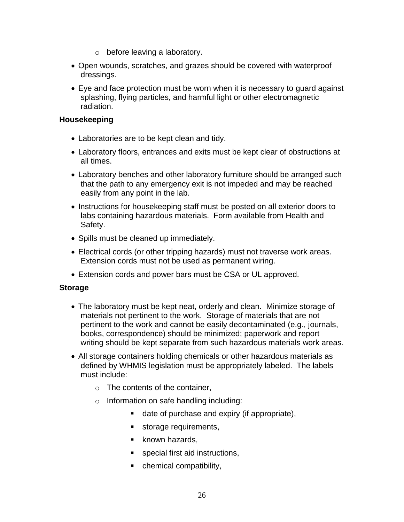- o before leaving a laboratory.
- Open wounds, scratches, and grazes should be covered with waterproof dressings.
- Eye and face protection must be worn when it is necessary to guard against splashing, flying particles, and harmful light or other electromagnetic radiation.

#### **Housekeeping**

- Laboratories are to be kept clean and tidy.
- Laboratory floors, entrances and exits must be kept clear of obstructions at all times.
- Laboratory benches and other laboratory furniture should be arranged such that the path to any emergency exit is not impeded and may be reached easily from any point in the lab.
- Instructions for housekeeping staff must be posted on all exterior doors to labs containing hazardous materials. Form available from Health and Safety.
- Spills must be cleaned up immediately.
- Electrical cords (or other tripping hazards) must not traverse work areas. Extension cords must not be used as permanent wiring.
- Extension cords and power bars must be CSA or UL approved.

#### **Storage**

- The laboratory must be kept neat, orderly and clean. Minimize storage of materials not pertinent to the work. Storage of materials that are not pertinent to the work and cannot be easily decontaminated (e.g., journals, books, correspondence) should be minimized; paperwork and report writing should be kept separate from such hazardous materials work areas.
- All storage containers holding chemicals or other hazardous materials as defined by WHMIS legislation must be appropriately labeled. The labels must include:
	- o The contents of the container,
	- o Information on safe handling including:
		- date of purchase and expiry (if appropriate),
		- **storage requirements,**
		- **Known hazards.**
		- special first aid instructions,
		- chemical compatibility,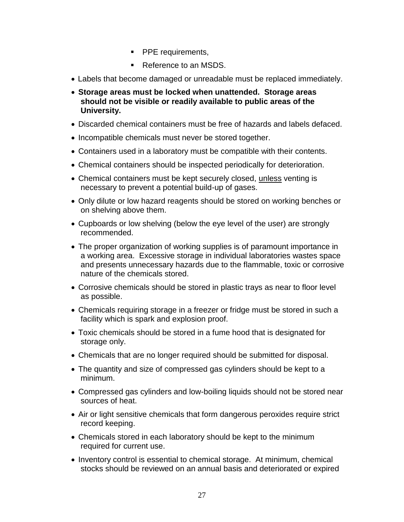- **PPE requirements,**
- Reference to an MSDS.
- Labels that become damaged or unreadable must be replaced immediately.
- **Storage areas must be locked when unattended. Storage areas should not be visible or readily available to public areas of the University.**
- Discarded chemical containers must be free of hazards and labels defaced.
- Incompatible chemicals must never be stored together.
- Containers used in a laboratory must be compatible with their contents.
- Chemical containers should be inspected periodically for deterioration.
- Chemical containers must be kept securely closed, unless venting is necessary to prevent a potential build-up of gases.
- Only dilute or low hazard reagents should be stored on working benches or on shelving above them.
- Cupboards or low shelving (below the eye level of the user) are strongly recommended.
- The proper organization of working supplies is of paramount importance in a working area. Excessive storage in individual laboratories wastes space and presents unnecessary hazards due to the flammable, toxic or corrosive nature of the chemicals stored.
- Corrosive chemicals should be stored in plastic trays as near to floor level as possible.
- Chemicals requiring storage in a freezer or fridge must be stored in such a facility which is spark and explosion proof.
- Toxic chemicals should be stored in a fume hood that is designated for storage only.
- Chemicals that are no longer required should be submitted for disposal.
- The quantity and size of compressed gas cylinders should be kept to a minimum.
- Compressed gas cylinders and low-boiling liquids should not be stored near sources of heat.
- Air or light sensitive chemicals that form dangerous peroxides require strict record keeping.
- Chemicals stored in each laboratory should be kept to the minimum required for current use.
- Inventory control is essential to chemical storage. At minimum, chemical stocks should be reviewed on an annual basis and deteriorated or expired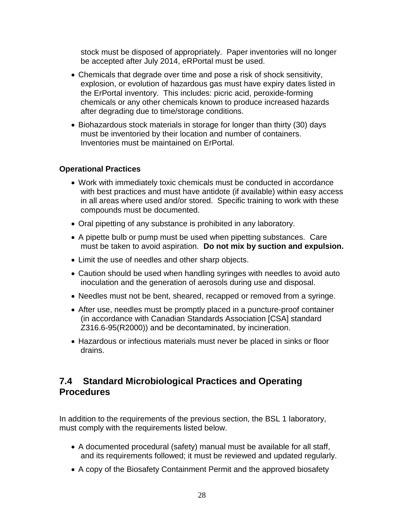stock must be disposed of appropriately. Paper inventories will no longer be accepted after July 2014, eRPortal must be used.

- Chemicals that degrade over time and pose a risk of shock sensitivity, explosion, or evolution of hazardous gas must have expiry dates listed in the ErPortal inventory. This includes: picric acid, peroxide-forming chemicals or any other chemicals known to produce increased hazards after degrading due to time/storage conditions.
- Biohazardous stock materials in storage for longer than thirty (30) days must be inventoried by their location and number of containers. Inventories must be maintained on ErPortal.

## **Operational Practices**

- Work with immediately toxic chemicals must be conducted in accordance with best practices and must have antidote (if available) within easy access in all areas where used and/or stored. Specific training to work with these compounds must be documented.
- Oral pipetting of any substance is prohibited in any laboratory.
- A pipette bulb or pump must be used when pipetting substances.Care must be taken to avoid aspiration. **Do not mix by suction and expulsion.**
- Limit the use of needles and other sharp objects.
- Caution should be used when handling syringes with needles to avoid auto inoculation and the generation of aerosols during use and disposal.
- Needles must not be bent, sheared, recapped or removed from a syringe.
- After use, needles must be promptly placed in a puncture-proof container (in accordance with Canadian Standards Association [CSA] standard Z316.6-95(R2000)) and be decontaminated, by incineration.
- Hazardous or infectious materials must never be placed in sinks or floor drains.

## <span id="page-28-0"></span>**7.4 Standard Microbiological Practices and Operating Procedures**

In addition to the requirements of the previous section, the BSL 1 laboratory, must comply with the requirements listed below.

- A documented procedural (safety) manual must be available for all staff, and its requirements followed; it must be reviewed and updated regularly.
- A copy of the Biosafety Containment Permit and the approved biosafety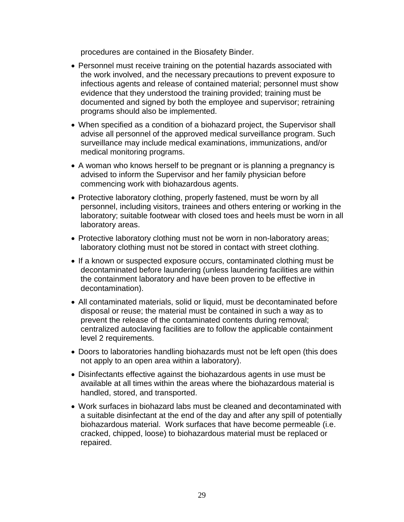procedures are contained in the Biosafety Binder.

- Personnel must receive training on the potential hazards associated with the work involved, and the necessary precautions to prevent exposure to infectious agents and release of contained material; personnel must show evidence that they understood the training provided; training must be documented and signed by both the employee and supervisor; retraining programs should also be implemented.
- When specified as a condition of a biohazard project, the Supervisor shall advise all personnel of the approved medical surveillance program. Such surveillance may include medical examinations, immunizations, and/or medical monitoring programs.
- A woman who knows herself to be pregnant or is planning a pregnancy is advised to inform the Supervisor and her family physician before commencing work with biohazardous agents.
- Protective laboratory clothing, properly fastened, must be worn by all personnel, including visitors, trainees and others entering or working in the laboratory; suitable footwear with closed toes and heels must be worn in all laboratory areas.
- Protective laboratory clothing must not be worn in non-laboratory areas; laboratory clothing must not be stored in contact with street clothing.
- If a known or suspected exposure occurs, contaminated clothing must be decontaminated before laundering (unless laundering facilities are within the containment laboratory and have been proven to be effective in decontamination).
- All contaminated materials, solid or liquid, must be decontaminated before disposal or reuse; the material must be contained in such a way as to prevent the release of the contaminated contents during removal; centralized autoclaving facilities are to follow the applicable containment level 2 requirements.
- Doors to laboratories handling biohazards must not be left open (this does not apply to an open area within a laboratory).
- Disinfectants effective against the biohazardous agents in use must be available at all times within the areas where the biohazardous material is handled, stored, and transported.
- Work surfaces in biohazard labs must be cleaned and decontaminated with a suitable disinfectant at the end of the day and after any spill of potentially biohazardous material. Work surfaces that have become permeable (i.e. cracked, chipped, loose) to biohazardous material must be replaced or repaired.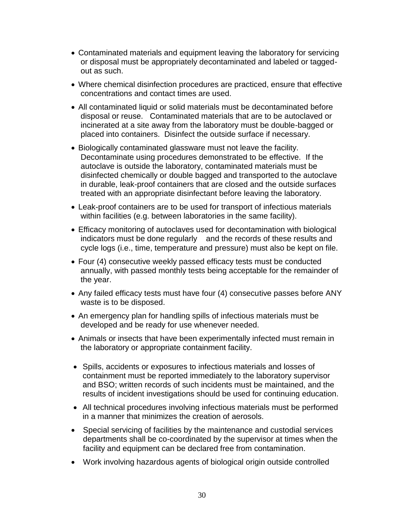- Contaminated materials and equipment leaving the laboratory for servicing or disposal must be appropriately decontaminated and labeled or taggedout as such.
- Where chemical disinfection procedures are practiced, ensure that effective concentrations and contact times are used.
- All contaminated liquid or solid materials must be decontaminated before disposal or reuse. Contaminated materials that are to be autoclaved or incinerated at a site away from the laboratory must be double-bagged or placed into containers. Disinfect the outside surface if necessary.
- Biologically contaminated glassware must not leave the facility. Decontaminate using procedures demonstrated to be effective. If the autoclave is outside the laboratory, contaminated materials must be disinfected chemically or double bagged and transported to the autoclave in durable, leak-proof containers that are closed and the outside surfaces treated with an appropriate disinfectant before leaving the laboratory.
- Leak-proof containers are to be used for transport of infectious materials within facilities (e.g. between laboratories in the same facility).
- Efficacy monitoring of autoclaves used for decontamination with biological indicators must be done regularly and the records of these results and cycle logs (i.e., time, temperature and pressure) must also be kept on file.
- Four (4) consecutive weekly passed efficacy tests must be conducted annually, with passed monthly tests being acceptable for the remainder of the year.
- Any failed efficacy tests must have four (4) consecutive passes before ANY waste is to be disposed.
- An emergency plan for handling spills of infectious materials must be developed and be ready for use whenever needed.
- Animals or insects that have been experimentally infected must remain in the laboratory or appropriate containment facility.
- Spills, accidents or exposures to infectious materials and losses of containment must be reported immediately to the laboratory supervisor and BSO; written records of such incidents must be maintained, and the results of incident investigations should be used for continuing education.
- All technical procedures involving infectious materials must be performed in a manner that minimizes the creation of aerosols.
- Special servicing of facilities by the maintenance and custodial services departments shall be co-coordinated by the supervisor at times when the facility and equipment can be declared free from contamination.
- Work involving hazardous agents of biological origin outside controlled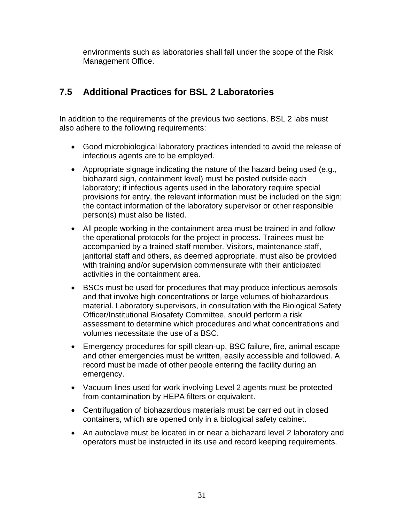environments such as laboratories shall fall under the scope of the Risk Management Office.

# <span id="page-31-0"></span>**7.5 Additional Practices for BSL 2 Laboratories**

In addition to the requirements of the previous two sections, BSL 2 labs must also adhere to the following requirements:

- Good microbiological laboratory practices intended to avoid the release of infectious agents are to be employed.
- Appropriate signage indicating the nature of the hazard being used (e.g., biohazard sign, containment level) must be posted outside each laboratory; if infectious agents used in the laboratory require special provisions for entry, the relevant information must be included on the sign; the contact information of the laboratory supervisor or other responsible person(s) must also be listed.
- All people working in the containment area must be trained in and follow the operational protocols for the project in process. Trainees must be accompanied by a trained staff member. Visitors, maintenance staff, janitorial staff and others, as deemed appropriate, must also be provided with training and/or supervision commensurate with their anticipated activities in the containment area.
- BSCs must be used for procedures that may produce infectious aerosols and that involve high concentrations or large volumes of biohazardous material. Laboratory supervisors, in consultation with the Biological Safety Officer/Institutional Biosafety Committee, should perform a risk assessment to determine which procedures and what concentrations and volumes necessitate the use of a BSC.
- Emergency procedures for spill clean-up, BSC failure, fire, animal escape and other emergencies must be written, easily accessible and followed. A record must be made of other people entering the facility during an emergency.
- Vacuum lines used for work involving Level 2 agents must be protected from contamination by HEPA filters or equivalent.
- Centrifugation of biohazardous materials must be carried out in closed containers, which are opened only in a biological safety cabinet.
- An autoclave must be located in or near a biohazard level 2 laboratory and operators must be instructed in its use and record keeping requirements.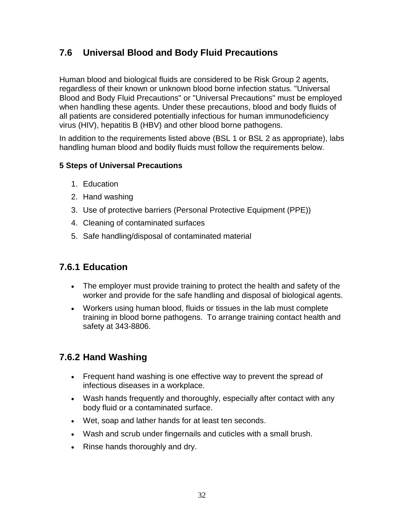# <span id="page-32-0"></span>**7.6 Universal Blood and Body Fluid Precautions**

Human blood and biological fluids are considered to be Risk Group 2 agents, regardless of their known or unknown blood borne infection status. "Universal Blood and Body Fluid Precautions" or "Universal Precautions" must be employed when handling these agents. Under these precautions, blood and body fluids of all patients are considered potentially infectious for human immunodeficiency virus (HIV), hepatitis B (HBV) and other blood borne pathogens.

In addition to the requirements listed above (BSL 1 or BSL 2 as appropriate), labs handling human blood and bodily fluids must follow the requirements below.

## **5 Steps of Universal Precautions**

- 1. Education
- 2. Hand washing
- 3. Use of protective barriers (Personal Protective Equipment (PPE))
- 4. Cleaning of contaminated surfaces
- 5. Safe handling/disposal of contaminated material

# <span id="page-32-1"></span>**7.6.1 Education**

- The employer must provide training to protect the health and safety of the worker and provide for the safe handling and disposal of biological agents.
- Workers using human blood, fluids or tissues in the lab must complete training in blood borne pathogens. To arrange training contact health and safety at 343-8806.

# <span id="page-32-2"></span>**7.6.2 Hand Washing**

- Frequent hand washing is one effective way to prevent the spread of infectious diseases in a workplace.
- Wash hands frequently and thoroughly, especially after contact with any body fluid or a contaminated surface.
- Wet, soap and lather hands for at least ten seconds.
- Wash and scrub under fingernails and cuticles with a small brush.
- Rinse hands thoroughly and dry.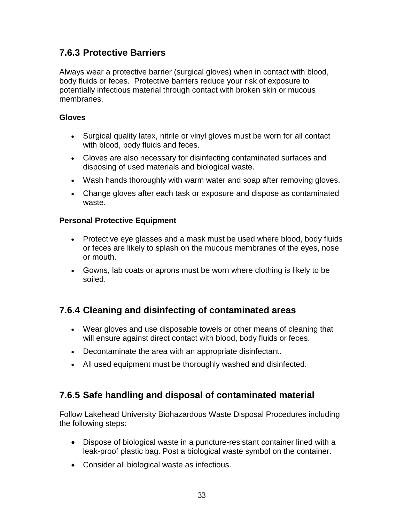# <span id="page-33-0"></span>**7.6.3 Protective Barriers**

Always wear a protective barrier (surgical gloves) when in contact with blood, body fluids or feces. Protective barriers reduce your risk of exposure to potentially infectious material through contact with broken skin or mucous membranes.

## **Gloves**

- Surgical quality latex, nitrile or vinyl gloves must be worn for all contact with blood, body fluids and feces.
- Gloves are also necessary for disinfecting contaminated surfaces and disposing of used materials and biological waste.
- Wash hands thoroughly with warm water and soap after removing gloves.
- Change gloves after each task or exposure and dispose as contaminated waste.

## **Personal Protective Equipment**

- Protective eye glasses and a mask must be used where blood, body fluids or feces are likely to splash on the mucous membranes of the eyes, nose or mouth.
- Gowns, lab coats or aprons must be worn where clothing is likely to be soiled.

# <span id="page-33-1"></span>**7.6.4 Cleaning and disinfecting of contaminated areas**

- Wear gloves and use disposable towels or other means of cleaning that will ensure against direct contact with blood, body fluids or feces.
- Decontaminate the area with an appropriate disinfectant.
- All used equipment must be thoroughly washed and disinfected.

# <span id="page-33-2"></span>**7.6.5 Safe handling and disposal of contaminated material**

Follow Lakehead University Biohazardous Waste Disposal Procedures including the following steps:

- Dispose of biological waste in a puncture-resistant container lined with a leak-proof plastic bag. Post a biological waste symbol on the container.
- Consider all biological waste as infectious.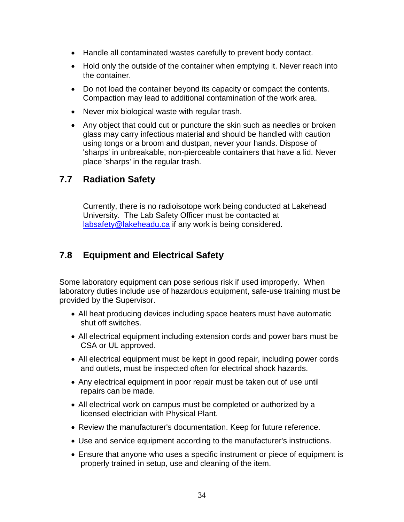- Handle all contaminated wastes carefully to prevent body contact.
- Hold only the outside of the container when emptying it. Never reach into the container.
- Do not load the container beyond its capacity or compact the contents. Compaction may lead to additional contamination of the work area.
- Never mix biological waste with regular trash.
- Any object that could cut or puncture the skin such as needles or broken glass may carry infectious material and should be handled with caution using tongs or a broom and dustpan, never your hands. Dispose of 'sharps' in unbreakable, non-pierceable containers that have a lid. Never place 'sharps' in the regular trash.

# <span id="page-34-0"></span>**7.7 Radiation Safety**

Currently, there is no radioisotope work being conducted at Lakehead University. The Lab Safety Officer must be contacted at [labsafety@lakeheadu.ca](mailto:labsafety@lakeheadu.ca) if any work is being considered.

# <span id="page-34-1"></span>**7.8 Equipment and Electrical Safety**

Some laboratory equipment can pose serious risk if used improperly. When laboratory duties include use of hazardous equipment, safe-use training must be provided by the Supervisor.

- All heat producing devices including space heaters must have automatic shut off switches.
- All electrical equipment including extension cords and power bars must be CSA or UL approved.
- All electrical equipment must be kept in good repair, including power cords and outlets, must be inspected often for electrical shock hazards.
- Any electrical equipment in poor repair must be taken out of use until repairs can be made.
- All electrical work on campus must be completed or authorized by a licensed electrician with Physical Plant.
- Review the manufacturer's documentation. Keep for future reference.
- Use and service equipment according to the manufacturer's instructions.
- Ensure that anyone who uses a specific instrument or piece of equipment is properly trained in setup, use and cleaning of the item.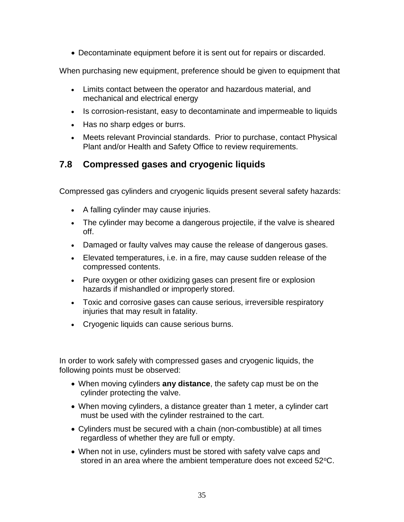Decontaminate equipment before it is sent out for repairs or discarded.

When purchasing new equipment, preference should be given to equipment that

- Limits contact between the operator and hazardous material, and mechanical and electrical energy
- Is corrosion-resistant, easy to decontaminate and impermeable to liquids
- Has no sharp edges or burrs.
- Meets relevant Provincial standards. Prior to purchase, contact Physical Plant and/or Health and Safety Office to review requirements.

# <span id="page-35-0"></span>**7.8 Compressed gases and cryogenic liquids**

Compressed gas cylinders and cryogenic liquids present several safety hazards:

- A falling cylinder may cause injuries.
- The cylinder may become a dangerous projectile, if the valve is sheared off.
- Damaged or faulty valves may cause the release of dangerous gases.
- Elevated temperatures, i.e. in a fire, may cause sudden release of the compressed contents.
- Pure oxygen or other oxidizing gases can present fire or explosion hazards if mishandled or improperly stored.
- Toxic and corrosive gases can cause serious, irreversible respiratory injuries that may result in fatality.
- Cryogenic liquids can cause serious burns.

In order to work safely with compressed gases and cryogenic liquids, the following points must be observed:

- When moving cylinders **any distance**, the safety cap must be on the cylinder protecting the valve.
- When moving cylinders, a distance greater than 1 meter, a cylinder cart must be used with the cylinder restrained to the cart.
- Cylinders must be secured with a chain (non-combustible) at all times regardless of whether they are full or empty.
- When not in use, cylinders must be stored with safety valve caps and stored in an area where the ambient temperature does not exceed 52°C.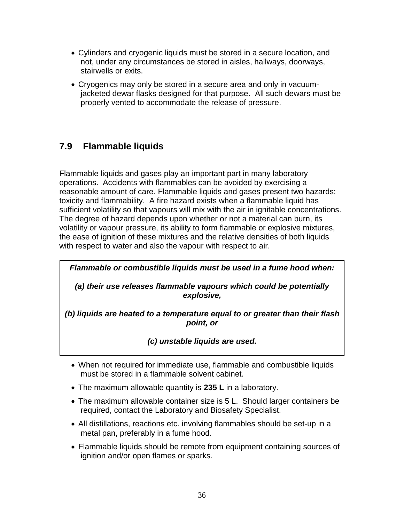- Cylinders and cryogenic liquids must be stored in a secure location, and not, under any circumstances be stored in aisles, hallways, doorways, stairwells or exits.
- Cryogenics may only be stored in a secure area and only in vacuumjacketed dewar flasks designed for that purpose. All such dewars must be properly vented to accommodate the release of pressure.

# **7.9 Flammable liquids**

Flammable liquids and gases play an important part in many laboratory operations. Accidents with flammables can be avoided by exercising a reasonable amount of care. Flammable liquids and gases present two hazards: toxicity and flammability. A fire hazard exists when a flammable liquid has sufficient volatility so that vapours will mix with the air in ignitable concentrations. The degree of hazard depends upon whether or not a material can burn, its volatility or vapour pressure, its ability to form flammable or explosive mixtures, the ease of ignition of these mixtures and the relative densities of both liquids with respect to water and also the vapour with respect to air.

*Flammable or combustible liquids must be used in a fume hood when:*

*(a) their use releases flammable vapours which could be potentially explosive,*

*(b) liquids are heated to a temperature equal to or greater than their flash point, or*

*(c) unstable liquids are used.*

- When not required for immediate use, flammable and combustible liquids must be stored in a flammable solvent cabinet.
- The maximum allowable quantity is **235 L** in a laboratory.
- The maximum allowable container size is 5 L. Should larger containers be required, contact the Laboratory and Biosafety Specialist.
- All distillations, reactions etc. involving flammables should be set-up in a metal pan, preferably in a fume hood.
- Flammable liquids should be remote from equipment containing sources of ignition and/or open flames or sparks.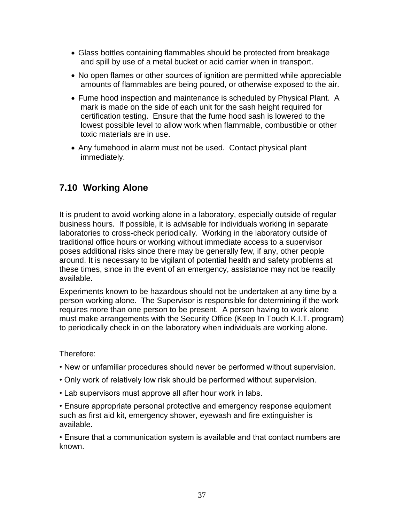- Glass bottles containing flammables should be protected from breakage and spill by use of a metal bucket or acid carrier when in transport.
- No open flames or other sources of ignition are permitted while appreciable amounts of flammables are being poured, or otherwise exposed to the air.
- Fume hood inspection and maintenance is scheduled by Physical Plant. A mark is made on the side of each unit for the sash height required for certification testing. Ensure that the fume hood sash is lowered to the lowest possible level to allow work when flammable, combustible or other toxic materials are in use.
- Any fumehood in alarm must not be used. Contact physical plant immediately.

## **7.10 Working Alone**

It is prudent to avoid working alone in a laboratory, especially outside of regular business hours. If possible, it is advisable for individuals working in separate laboratories to cross-check periodically. Working in the laboratory outside of traditional office hours or working without immediate access to a supervisor poses additional risks since there may be generally few, if any, other people around. It is necessary to be vigilant of potential health and safety problems at these times, since in the event of an emergency, assistance may not be readily available.

Experiments known to be hazardous should not be undertaken at any time by a person working alone. The Supervisor is responsible for determining if the work requires more than one person to be present. A person having to work alone must make arrangements with the Security Office (Keep In Touch K.I.T. program) to periodically check in on the laboratory when individuals are working alone.

Therefore:

- New or unfamiliar procedures should never be performed without supervision.
- Only work of relatively low risk should be performed without supervision.
- Lab supervisors must approve all after hour work in labs.

• Ensure appropriate personal protective and emergency response equipment such as first aid kit, emergency shower, eyewash and fire extinguisher is available.

• Ensure that a communication system is available and that contact numbers are known.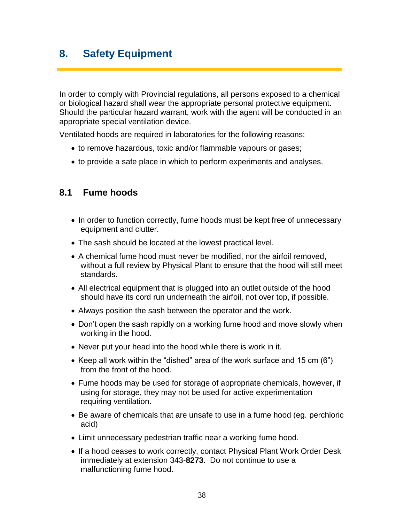# **8. Safety Equipment**

In order to comply with Provincial regulations, all persons exposed to a chemical or biological hazard shall wear the appropriate personal protective equipment. Should the particular hazard warrant, work with the agent will be conducted in an appropriate special ventilation device.

Ventilated hoods are required in laboratories for the following reasons:

- to remove hazardous, toxic and/or flammable vapours or gases;
- to provide a safe place in which to perform experiments and analyses.

#### **8.1 Fume hoods**

- In order to function correctly, fume hoods must be kept free of unnecessary equipment and clutter.
- The sash should be located at the lowest practical level.
- A chemical fume hood must never be modified, nor the airfoil removed, without a full review by Physical Plant to ensure that the hood will still meet standards.
- All electrical equipment that is plugged into an outlet outside of the hood should have its cord run underneath the airfoil, not over top, if possible.
- Always position the sash between the operator and the work.
- Don't open the sash rapidly on a working fume hood and move slowly when working in the hood.
- Never put your head into the hood while there is work in it.
- Keep all work within the "dished" area of the work surface and 15 cm  $(6")$ from the front of the hood.
- Fume hoods may be used for storage of appropriate chemicals, however, if using for storage, they may not be used for active experimentation requiring ventilation.
- Be aware of chemicals that are unsafe to use in a fume hood (eg. perchloric acid)
- Limit unnecessary pedestrian traffic near a working fume hood.
- If a hood ceases to work correctly, contact Physical Plant Work Order Desk immediately at extension 343-**8273**. Do not continue to use a malfunctioning fume hood.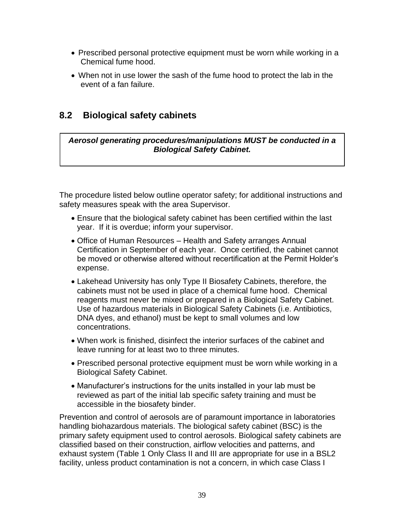- Prescribed personal protective equipment must be worn while working in a Chemical fume hood.
- When not in use lower the sash of the fume hood to protect the lab in the event of a fan failure.

# **8.2 Biological safety cabinets**

*Aerosol generating procedures/manipulations MUST be conducted in a Biological Safety Cabinet.*

The procedure listed below outline operator safety; for additional instructions and safety measures speak with the area Supervisor.

- Ensure that the biological safety cabinet has been certified within the last year. If it is overdue; inform your supervisor.
- Office of Human Resources Health and Safety arranges Annual Certification in September of each year. Once certified, the cabinet cannot be moved or otherwise altered without recertification at the Permit Holder's expense.
- Lakehead University has only Type II Biosafety Cabinets, therefore, the cabinets must not be used in place of a chemical fume hood. Chemical reagents must never be mixed or prepared in a Biological Safety Cabinet. Use of hazardous materials in Biological Safety Cabinets (i.e. Antibiotics, DNA dyes, and ethanol) must be kept to small volumes and low concentrations.
- When work is finished, disinfect the interior surfaces of the cabinet and leave running for at least two to three minutes.
- Prescribed personal protective equipment must be worn while working in a Biological Safety Cabinet.
- Manufacturer's instructions for the units installed in your lab must be reviewed as part of the initial lab specific safety training and must be accessible in the biosafety binder.

Prevention and control of aerosols are of paramount importance in laboratories handling biohazardous materials. The biological safety cabinet (BSC) is the primary safety equipment used to control aerosols. Biological safety cabinets are classified based on their construction, airflow velocities and patterns, and exhaust system (Table 1 Only Class II and III are appropriate for use in a BSL2 facility, unless product contamination is not a concern, in which case Class I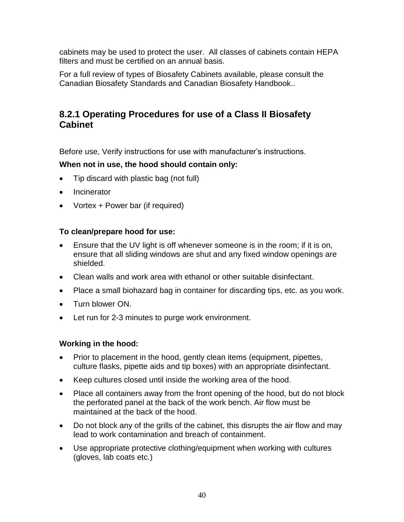cabinets may be used to protect the user. All classes of cabinets contain HEPA filters and must be certified on an annual basis.

For a full review of types of Biosafety Cabinets available, please consult the Canadian Biosafety Standards and Canadian Biosafety Handbook..

# **8.2.1 Operating Procedures for use of a Class II Biosafety Cabinet**

Before use, Verify instructions for use with manufacturer's instructions.

#### **When not in use, the hood should contain only:**

- Tip discard with plastic bag (not full)
- Incinerator
- Vortex + Power bar (if required)

#### **To clean/prepare hood for use:**

- Ensure that the UV light is off whenever someone is in the room; if it is on, ensure that all sliding windows are shut and any fixed window openings are shielded.
- Clean walls and work area with ethanol or other suitable disinfectant.
- Place a small biohazard bag in container for discarding tips, etc. as you work.
- Turn blower ON.
- Let run for 2-3 minutes to purge work environment.

#### **Working in the hood:**

- Prior to placement in the hood, gently clean items (equipment, pipettes, culture flasks, pipette aids and tip boxes) with an appropriate disinfectant.
- Keep cultures closed until inside the working area of the hood.
- Place all containers away from the front opening of the hood, but do not block the perforated panel at the back of the work bench. Air flow must be maintained at the back of the hood.
- Do not block any of the grills of the cabinet, this disrupts the air flow and may lead to work contamination and breach of containment.
- Use appropriate protective clothing/equipment when working with cultures (gloves, lab coats etc.)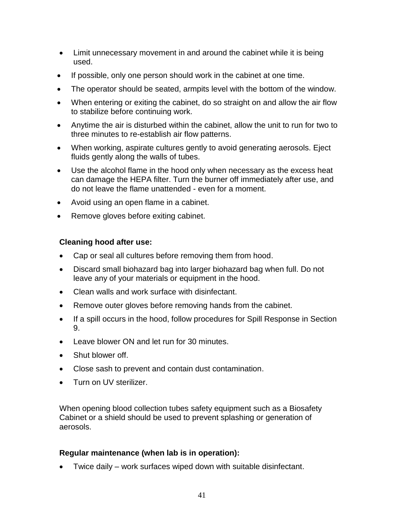- Limit unnecessary movement in and around the cabinet while it is being used.
- If possible, only one person should work in the cabinet at one time.
- The operator should be seated, armpits level with the bottom of the window.
- When entering or exiting the cabinet, do so straight on and allow the air flow to stabilize before continuing work.
- Anytime the air is disturbed within the cabinet, allow the unit to run for two to three minutes to re-establish air flow patterns.
- When working, aspirate cultures gently to avoid generating aerosols. Eject fluids gently along the walls of tubes.
- Use the alcohol flame in the hood only when necessary as the excess heat can damage the HEPA filter. Turn the burner off immediately after use, and do not leave the flame unattended - even for a moment.
- Avoid using an open flame in a cabinet.
- Remove gloves before exiting cabinet.

#### **Cleaning hood after use:**

- Cap or seal all cultures before removing them from hood.
- Discard small biohazard bag into larger biohazard bag when full. Do not leave any of your materials or equipment in the hood.
- Clean walls and work surface with disinfectant.
- Remove outer gloves before removing hands from the cabinet.
- If a spill occurs in the hood, follow procedures for Spill Response in Section  $\mathsf{Q}$
- Leave blower ON and let run for 30 minutes.
- Shut blower off.
- Close sash to prevent and contain dust contamination.
- Turn on UV sterilizer.

When opening blood collection tubes safety equipment such as a Biosafety Cabinet or a shield should be used to prevent splashing or generation of aerosols.

#### **Regular maintenance (when lab is in operation):**

Twice daily – work surfaces wiped down with suitable disinfectant.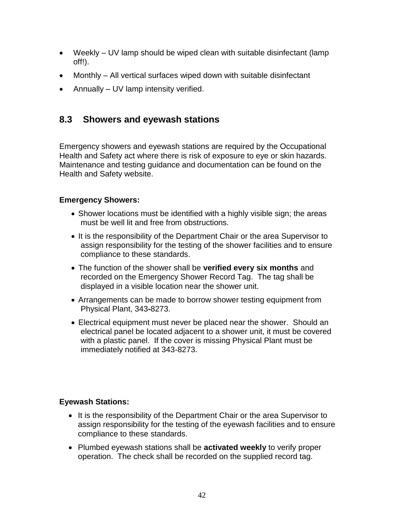- Weekly UV lamp should be wiped clean with suitable disinfectant (lamp off!).
- Monthly All vertical surfaces wiped down with suitable disinfectant
- Annually UV lamp intensity verified.

## **8.3 Showers and eyewash stations**

Emergency showers and eyewash stations are required by the Occupational Health and Safety act where there is risk of exposure to eye or skin hazards. Maintenance and testing guidance and documentation can be found on the Health and Safety website.

#### **Emergency Showers:**

- Shower locations must be identified with a highly visible sign; the areas must be well lit and free from obstructions.
- It is the responsibility of the Department Chair or the area Supervisor to assign responsibility for the testing of the shower facilities and to ensure compliance to these standards.
- The function of the shower shall be **verified every six months** and recorded on the Emergency Shower Record Tag. The tag shall be displayed in a visible location near the shower unit.
- Arrangements can be made to borrow shower testing equipment from Physical Plant, 343**-**8273.
- Electrical equipment must never be placed near the shower. Should an electrical panel be located adjacent to a shower unit, it must be covered with a plastic panel. If the cover is missing Physical Plant must be immediately notified at 343-8273.

#### **Eyewash Stations:**

- It is the responsibility of the Department Chair or the area Supervisor to assign responsibility for the testing of the eyewash facilities and to ensure compliance to these standards.
- Plumbed eyewash stations shall be **activated weekly** to verify proper operation. The check shall be recorded on the supplied record tag.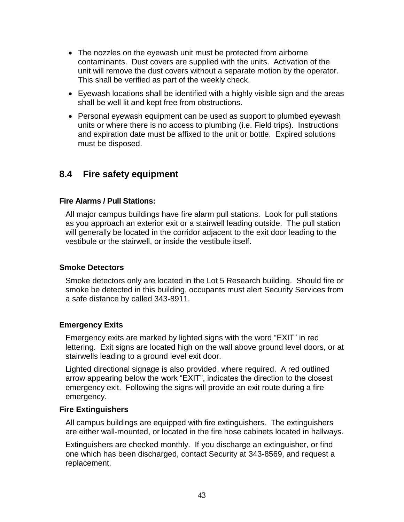- The nozzles on the eyewash unit must be protected from airborne contaminants. Dust covers are supplied with the units. Activation of the unit will remove the dust covers without a separate motion by the operator. This shall be verified as part of the weekly check.
- Eyewash locations shall be identified with a highly visible sign and the areas shall be well lit and kept free from obstructions.
- Personal eyewash equipment can be used as support to plumbed eyewash units or where there is no access to plumbing (i.e. Field trips). Instructions and expiration date must be affixed to the unit or bottle. Expired solutions must be disposed.

### **8.4 Fire safety equipment**

#### **Fire Alarms / Pull Stations:**

All major campus buildings have fire alarm pull stations. Look for pull stations as you approach an exterior exit or a stairwell leading outside. The pull station will generally be located in the corridor adjacent to the exit door leading to the vestibule or the stairwell, or inside the vestibule itself.

#### **Smoke Detectors**

Smoke detectors only are located in the Lot 5 Research building. Should fire or smoke be detected in this building, occupants must alert Security Services from a safe distance by called 343-8911.

#### **Emergency Exits**

Emergency exits are marked by lighted signs with the word "EXIT" in red lettering. Exit signs are located high on the wall above ground level doors, or at stairwells leading to a ground level exit door.

Lighted directional signage is also provided, where required. A red outlined arrow appearing below the work "EXIT", indicates the direction to the closest emergency exit. Following the signs will provide an exit route during a fire emergency.

#### **Fire Extinguishers**

All campus buildings are equipped with fire extinguishers. The extinguishers are either wall-mounted, or located in the fire hose cabinets located in hallways.

Extinguishers are checked monthly. If you discharge an extinguisher, or find one which has been discharged, contact Security at 343-8569, and request a replacement.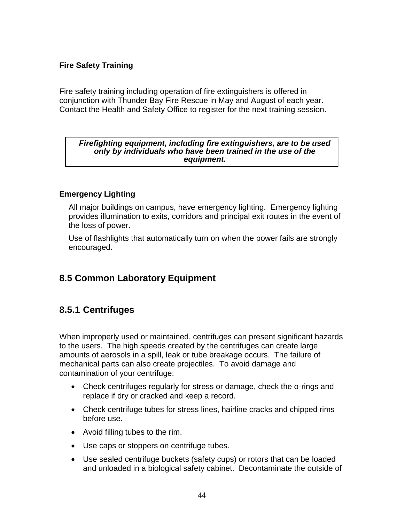#### **Fire Safety Training**

Fire safety training including operation of fire extinguishers is offered in conjunction with Thunder Bay Fire Rescue in May and August of each year. Contact the Health and Safety Office to register for the next training session.

#### *Firefighting equipment, including fire extinguishers, are to be used only by individuals who have been trained in the use of the equipment.*

#### **Emergency Lighting**

All major buildings on campus, have emergency lighting. Emergency lighting provides illumination to exits, corridors and principal exit routes in the event of the loss of power.

Use of flashlights that automatically turn on when the power fails are strongly encouraged.

## **8.5 Common Laboratory Equipment**

## **8.5.1 Centrifuges**

When improperly used or maintained, centrifuges can present significant hazards to the users. The high speeds created by the centrifuges can create large amounts of aerosols in a spill, leak or tube breakage occurs. The failure of mechanical parts can also create projectiles. To avoid damage and contamination of your centrifuge:

- Check centrifuges regularly for stress or damage, check the o-rings and replace if dry or cracked and keep a record.
- Check centrifuge tubes for stress lines, hairline cracks and chipped rims before use.
- Avoid filling tubes to the rim.
- Use caps or stoppers on centrifuge tubes.
- Use sealed centrifuge buckets (safety cups) or rotors that can be loaded and unloaded in a biological safety cabinet. Decontaminate the outside of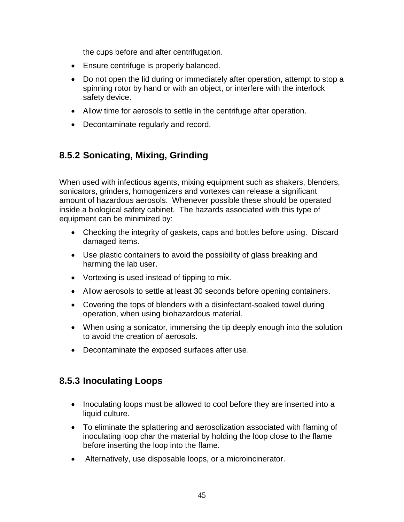the cups before and after centrifugation.

- Ensure centrifuge is properly balanced.
- Do not open the lid during or immediately after operation, attempt to stop a spinning rotor by hand or with an object, or interfere with the interlock safety device.
- Allow time for aerosols to settle in the centrifuge after operation.
- Decontaminate regularly and record.

# **8.5.2 Sonicating, Mixing, Grinding**

When used with infectious agents, mixing equipment such as shakers, blenders, sonicators, grinders, homogenizers and vortexes can release a significant amount of hazardous aerosols. Whenever possible these should be operated inside a biological safety cabinet. The hazards associated with this type of equipment can be minimized by:

- Checking the integrity of gaskets, caps and bottles before using. Discard damaged items.
- Use plastic containers to avoid the possibility of glass breaking and harming the lab user.
- Vortexing is used instead of tipping to mix.
- Allow aerosols to settle at least 30 seconds before opening containers.
- Covering the tops of blenders with a disinfectant-soaked towel during operation, when using biohazardous material.
- When using a sonicator, immersing the tip deeply enough into the solution to avoid the creation of aerosols.
- Decontaminate the exposed surfaces after use.

# **8.5.3 Inoculating Loops**

- Inoculating loops must be allowed to cool before they are inserted into a liquid culture.
- To eliminate the splattering and aerosolization associated with flaming of inoculating loop char the material by holding the loop close to the flame before inserting the loop into the flame.
- Alternatively, use disposable loops, or a microincinerator.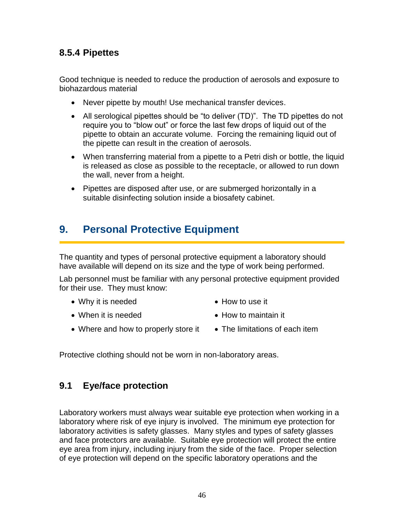## **8.5.4 Pipettes**

Good technique is needed to reduce the production of aerosols and exposure to biohazardous material

- Never pipette by mouth! Use mechanical transfer devices.
- All serological pipettes should be "to deliver (TD)". The TD pipettes do not require you to "blow out" or force the last few drops of liquid out of the pipette to obtain an accurate volume. Forcing the remaining liquid out of the pipette can result in the creation of aerosols.
- When transferring material from a pipette to a Petri dish or bottle, the liquid is released as close as possible to the receptacle, or allowed to run down the wall, never from a height.
- Pipettes are disposed after use, or are submerged horizontally in a suitable disinfecting solution inside a biosafety cabinet.

# **9. Personal Protective Equipment**

The quantity and types of personal protective equipment a laboratory should have available will depend on its size and the type of work being performed.

Lab personnel must be familiar with any personal protective equipment provided for their use. They must know:

Why it is needed

• How to use it

How to maintain it

• When it is needed

• The limitations of each item

• Where and how to properly store it

Protective clothing should not be worn in non-laboratory areas.

## **9.1 Eye/face protection**

Laboratory workers must always wear suitable eye protection when working in a laboratory where risk of eye injury is involved. The minimum eye protection for laboratory activities is safety glasses. Many styles and types of safety glasses and face protectors are available. Suitable eye protection will protect the entire eye area from injury, including injury from the side of the face. Proper selection of eye protection will depend on the specific laboratory operations and the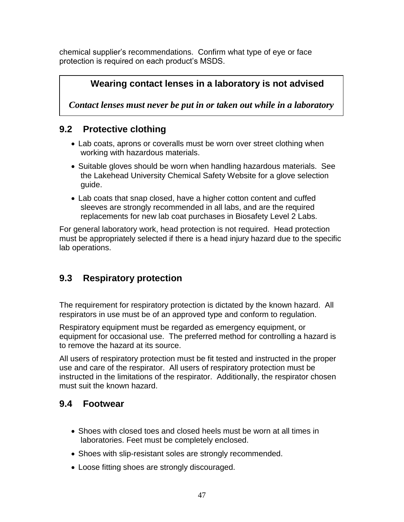chemical supplier's recommendations. Confirm what type of eye or face protection is required on each product's MSDS.

# **Wearing contact lenses in a laboratory is not advised**

*Contact lenses must never be put in or taken out while in a laboratory*

# **9.2 Protective clothing**

- Lab coats, aprons or coveralls must be worn over street clothing when working with hazardous materials.
- Suitable gloves should be worn when handling hazardous materials. See the Lakehead University Chemical Safety Website for a glove selection guide.
- Lab coats that snap closed, have a higher cotton content and cuffed sleeves are strongly recommended in all labs, and are the required replacements for new lab coat purchases in Biosafety Level 2 Labs.

For general laboratory work, head protection is not required. Head protection must be appropriately selected if there is a head injury hazard due to the specific lab operations.

# **9.3 Respiratory protection**

The requirement for respiratory protection is dictated by the known hazard. All respirators in use must be of an approved type and conform to regulation.

Respiratory equipment must be regarded as emergency equipment, or equipment for occasional use. The preferred method for controlling a hazard is to remove the hazard at its source.

All users of respiratory protection must be fit tested and instructed in the proper use and care of the respirator. All users of respiratory protection must be instructed in the limitations of the respirator. Additionally, the respirator chosen must suit the known hazard.

### **9.4 Footwear**

- Shoes with closed toes and closed heels must be worn at all times in laboratories. Feet must be completely enclosed.
- Shoes with slip-resistant soles are strongly recommended.
- Loose fitting shoes are strongly discouraged.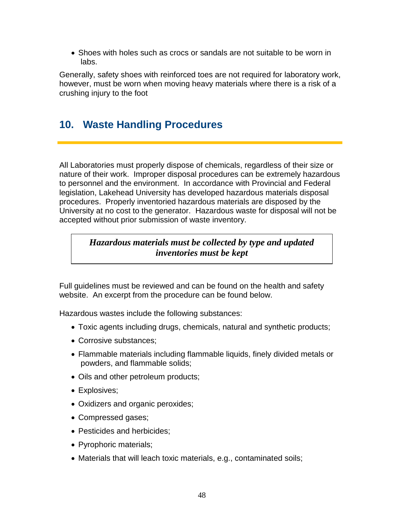• Shoes with holes such as crocs or sandals are not suitable to be worn in labs.

Generally, safety shoes with reinforced toes are not required for laboratory work, however, must be worn when moving heavy materials where there is a risk of a crushing injury to the foot

# **10. Waste Handling Procedures**

All Laboratories must properly dispose of chemicals, regardless of their size or nature of their work. Improper disposal procedures can be extremely hazardous to personnel and the environment. In accordance with Provincial and Federal legislation, Lakehead University has developed hazardous materials disposal procedures. Properly inventoried hazardous materials are disposed by the University at no cost to the generator. Hazardous waste for disposal will not be accepted without prior submission of waste inventory.

### *Hazardous materials must be collected by type and updated inventories must be kept*

Full guidelines must be reviewed and can be found on the health and safety website. An excerpt from the procedure can be found below.

Hazardous wastes include the following substances:

- Toxic agents including drugs, chemicals, natural and synthetic products;
- Corrosive substances;
- Flammable materials including flammable liquids, finely divided metals or powders, and flammable solids;
- Oils and other petroleum products;
- Explosives;
- Oxidizers and organic peroxides;
- Compressed gases;
- Pesticides and herbicides;
- Pyrophoric materials;
- Materials that will leach toxic materials, e.g., contaminated soils;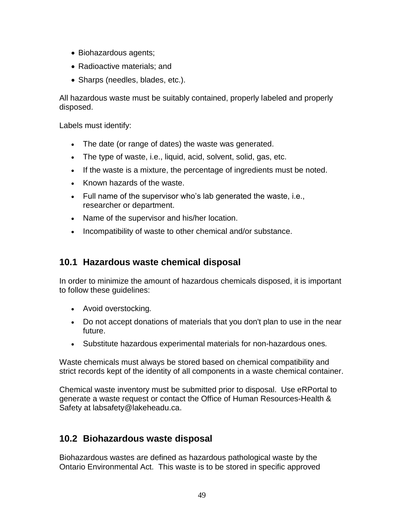- Biohazardous agents;
- Radioactive materials; and
- Sharps (needles, blades, etc.).

All hazardous waste must be suitably contained, properly labeled and properly disposed.

Labels must identify:

- The date (or range of dates) the waste was generated.
- The type of waste, i.e., liquid, acid, solvent, solid, gas, etc.
- If the waste is a mixture, the percentage of ingredients must be noted.
- Known hazards of the waste.
- Full name of the supervisor who's lab generated the waste, i.e., researcher or department.
- Name of the supervisor and his/her location.
- Incompatibility of waste to other chemical and/or substance.

### **10.1 Hazardous waste chemical disposal**

In order to minimize the amount of hazardous chemicals disposed, it is important to follow these guidelines:

- Avoid overstocking*.*
- Do not accept donations of materials that you don't plan to use in the near future.
- Substitute hazardous experimental materials for non-hazardous ones*.*

Waste chemicals must always be stored based on chemical compatibility and strict records kept of the identity of all components in a waste chemical container.

Chemical waste inventory must be submitted prior to disposal. Use eRPortal to generate a waste request or contact the Office of Human Resources-Health & Safety at labsafety@lakeheadu.ca.

### **10.2 Biohazardous waste disposal**

Biohazardous wastes are defined as hazardous pathological waste by the Ontario Environmental Act. This waste is to be stored in specific approved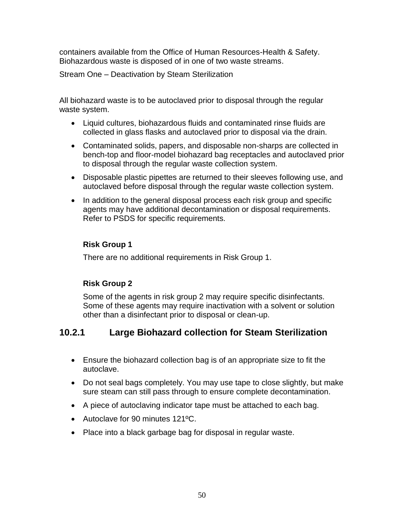containers available from the Office of Human Resources-Health & Safety. Biohazardous waste is disposed of in one of two waste streams.

Stream One – Deactivation by Steam Sterilization

All biohazard waste is to be autoclaved prior to disposal through the regular waste system.

- Liquid cultures, biohazardous fluids and contaminated rinse fluids are collected in glass flasks and autoclaved prior to disposal via the drain.
- Contaminated solids, papers, and disposable non-sharps are collected in bench-top and floor-model biohazard bag receptacles and autoclaved prior to disposal through the regular waste collection system.
- Disposable plastic pipettes are returned to their sleeves following use, and autoclaved before disposal through the regular waste collection system.
- In addition to the general disposal process each risk group and specific agents may have additional decontamination or disposal requirements. Refer to PSDS for specific requirements.

#### **Risk Group 1**

There are no additional requirements in Risk Group 1.

#### **Risk Group 2**

Some of the agents in risk group 2 may require specific disinfectants. Some of these agents may require inactivation with a solvent or solution other than a disinfectant prior to disposal or clean-up.

### **10.2.1 Large Biohazard collection for Steam Sterilization**

- Ensure the biohazard collection bag is of an appropriate size to fit the autoclave.
- Do not seal bags completely. You may use tape to close slightly, but make sure steam can still pass through to ensure complete decontamination.
- A piece of autoclaving indicator tape must be attached to each bag.
- Autoclave for 90 minutes 121°C.
- Place into a black garbage bag for disposal in regular waste.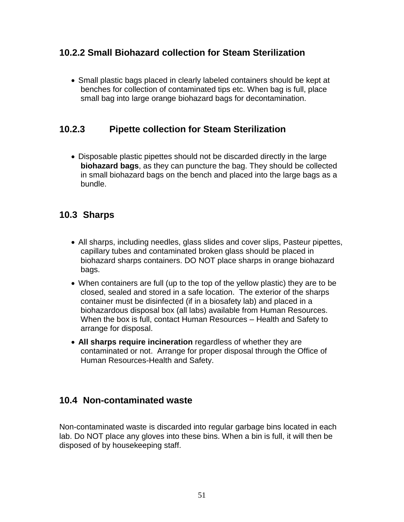### **10.2.2 Small Biohazard collection for Steam Sterilization**

• Small plastic bags placed in clearly labeled containers should be kept at benches for collection of contaminated tips etc. When bag is full, place small bag into large orange biohazard bags for decontamination.

### **10.2.3 Pipette collection for Steam Sterilization**

 Disposable plastic pipettes should not be discarded directly in the large **biohazard bags**, as they can puncture the bag. They should be collected in small biohazard bags on the bench and placed into the large bags as a bundle.

## **10.3 Sharps**

- All sharps, including needles, glass slides and cover slips, Pasteur pipettes, capillary tubes and contaminated broken glass should be placed in biohazard sharps containers. DO NOT place sharps in orange biohazard bags.
- When containers are full (up to the top of the yellow plastic) they are to be closed, sealed and stored in a safe location. The exterior of the sharps container must be disinfected (if in a biosafety lab) and placed in a biohazardous disposal box (all labs) available from Human Resources. When the box is full, contact Human Resources – Health and Safety to arrange for disposal.
- **All sharps require incineration** regardless of whether they are contaminated or not. Arrange for proper disposal through the Office of Human Resources-Health and Safety.

### **10.4 Non-contaminated waste**

Non-contaminated waste is discarded into regular garbage bins located in each lab. Do NOT place any gloves into these bins. When a bin is full, it will then be disposed of by housekeeping staff.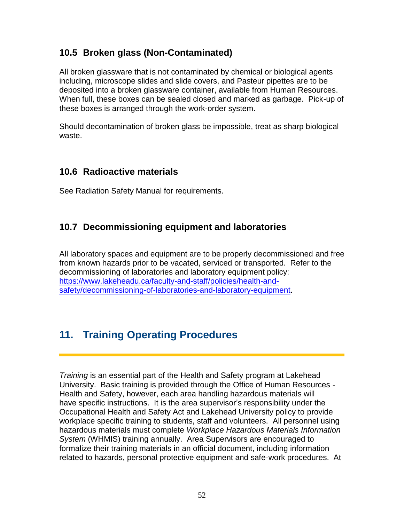## **10.5 Broken glass (Non-Contaminated)**

All broken glassware that is not contaminated by chemical or biological agents including, microscope slides and slide covers, and Pasteur pipettes are to be deposited into a broken glassware container, available from Human Resources. When full, these boxes can be sealed closed and marked as garbage. Pick-up of these boxes is arranged through the work-order system.

Should decontamination of broken glass be impossible, treat as sharp biological waste.

## **10.6 Radioactive materials**

See Radiation Safety Manual for requirements.

## **10.7 Decommissioning equipment and laboratories**

All laboratory spaces and equipment are to be properly decommissioned and free from known hazards prior to be vacated, serviced or transported. Refer to the decommissioning of laboratories and laboratory equipment policy: [https://www.lakeheadu.ca/faculty-and-staff/policies/health-and](https://www.lakeheadu.ca/faculty-and-staff/policies/health-and-safety/decommissioning-of-laboratories-and-laboratory-equipment)[safety/decommissioning-of-laboratories-and-laboratory-equipment.](https://www.lakeheadu.ca/faculty-and-staff/policies/health-and-safety/decommissioning-of-laboratories-and-laboratory-equipment)

# **11. Training Operating Procedures**

*Training* is an essential part of the Health and Safety program at Lakehead University. Basic training is provided through the Office of Human Resources - Health and Safety, however, each area handling hazardous materials will have specific instructions. It is the area supervisor's responsibility under the Occupational Health and Safety Act and Lakehead University policy to provide workplace specific training to students, staff and volunteers. All personnel using hazardous materials must complete *Workplace Hazardous Materials Information System* (WHMIS) training annually. Area Supervisors are encouraged to formalize their training materials in an official document, including information related to hazards, personal protective equipment and safe-work procedures. At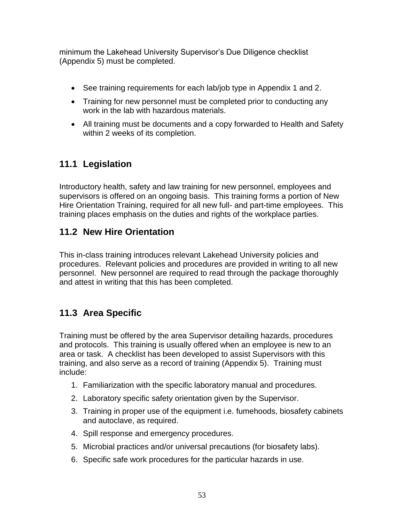minimum the Lakehead University Supervisor's Due Diligence checklist (Appendix 5) must be completed.

- See training requirements for each lab/job type in Appendix 1 and 2.
- Training for new personnel must be completed prior to conducting any work in the lab with hazardous materials.
- All training must be documents and a copy forwarded to Health and Safety within 2 weeks of its completion.

# **11.1 Legislation**

Introductory health, safety and law training for new personnel, employees and supervisors is offered on an ongoing basis. This training forms a portion of New Hire Orientation Training, required for all new full- and part-time employees. This training places emphasis on the duties and rights of the workplace parties.

## **11.2 New Hire Orientation**

This in-class training introduces relevant Lakehead University policies and procedures. Relevant policies and procedures are provided in writing to all new personnel. New personnel are required to read through the package thoroughly and attest in writing that this has been completed.

# **11.3 Area Specific**

Training must be offered by the area Supervisor detailing hazards, procedures and protocols. This training is usually offered when an employee is new to an area or task. A checklist has been developed to assist Supervisors with this training, and also serve as a record of training (Appendix 5). Training must include:

- 1. Familiarization with the specific laboratory manual and procedures.
- 2. Laboratory specific safety orientation given by the Supervisor.
- 3. Training in proper use of the equipment i.e. fumehoods, biosafety cabinets and autoclave, as required.
- 4. Spill response and emergency procedures.
- 5. Microbial practices and/or universal precautions (for biosafety labs).
- 6. Specific safe work procedures for the particular hazards in use.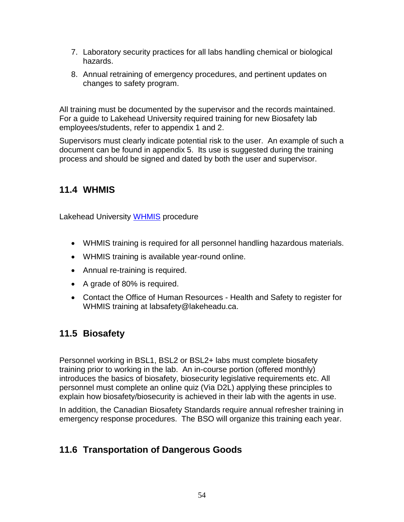- 7. Laboratory security practices for all labs handling chemical or biological hazards.
- 8. Annual retraining of emergency procedures, and pertinent updates on changes to safety program.

All training must be documented by the supervisor and the records maintained. For a guide to Lakehead University required training for new Biosafety lab employees/students, refer to appendix 1 and 2.

Supervisors must clearly indicate potential risk to the user. An example of such a document can be found in appendix 5. Its use is suggested during the training process and should be signed and dated by both the user and supervisor.

# **11.4 WHMIS**

Lakehead University **WHMIS** procedure

- WHMIS training is required for all personnel handling hazardous materials.
- WHMIS training is available year-round online.
- Annual re-training is required.
- A grade of 80% is required.
- Contact the Office of Human Resources Health and Safety to register for WHMIS training at labsafety@lakeheadu.ca.

## **11.5 Biosafety**

Personnel working in BSL1, BSL2 or BSL2+ labs must complete biosafety training prior to working in the lab. An in-course portion (offered monthly) introduces the basics of biosafety, biosecurity legislative requirements etc. All personnel must complete an online quiz (Via D2L) applying these principles to explain how biosafety/biosecurity is achieved in their lab with the agents in use.

In addition, the Canadian Biosafety Standards require annual refresher training in emergency response procedures. The BSO will organize this training each year.

# **11.6 Transportation of Dangerous Goods**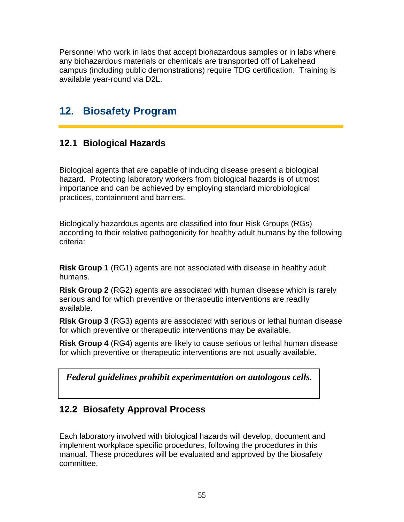Personnel who work in labs that accept biohazardous samples or in labs where any biohazardous materials or chemicals are transported off of Lakehead campus (including public demonstrations) require TDG certification. Training is available year-round via D2L.

# **12. Biosafety Program**

### **12.1 Biological Hazards**

Biological agents that are capable of inducing disease present a biological hazard. Protecting laboratory workers from biological hazards is of utmost importance and can be achieved by employing standard microbiological practices, containment and barriers.

Biologically hazardous agents are classified into four Risk Groups (RGs) according to their relative pathogenicity for healthy adult humans by the following criteria:

**Risk Group 1** (RG1) agents are not associated with disease in healthy adult humans.

**Risk Group 2** (RG2) agents are associated with human disease which is rarely serious and for which preventive or therapeutic interventions are readily available.

**Risk Group 3** (RG3) agents are associated with serious or lethal human disease for which preventive or therapeutic interventions may be available.

**Risk Group 4** (RG4) agents are likely to cause serious or lethal human disease for which preventive or therapeutic interventions are not usually available.

*Federal guidelines prohibit experimentation on autologous cells.* 

### **12.2 Biosafety Approval Process**

Each laboratory involved with biological hazards will develop, document and implement workplace specific procedures, following the procedures in this manual. These procedures will be evaluated and approved by the biosafety committee.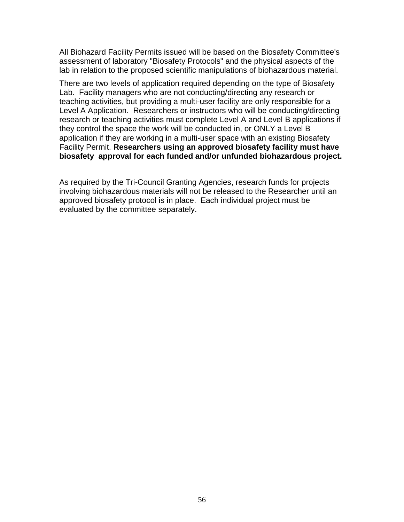All Biohazard Facility Permits issued will be based on the Biosafety Committee's assessment of laboratory "Biosafety Protocols" and the physical aspects of the lab in relation to the proposed scientific manipulations of biohazardous material.

There are two levels of application required depending on the type of Biosafety Lab. Facility managers who are not conducting/directing any research or teaching activities, but providing a multi-user facility are only responsible for a Level A Application. Researchers or instructors who will be conducting/directing research or teaching activities must complete Level A and Level B applications if they control the space the work will be conducted in, or ONLY a Level B application if they are working in a multi-user space with an existing Biosafety Facility Permit. **Researchers using an approved biosafety facility must have biosafety approval for each funded and/or unfunded biohazardous project.**

As required by the Tri-Council Granting Agencies, research funds for projects involving biohazardous materials will not be released to the Researcher until an approved biosafety protocol is in place. Each individual project must be evaluated by the committee separately.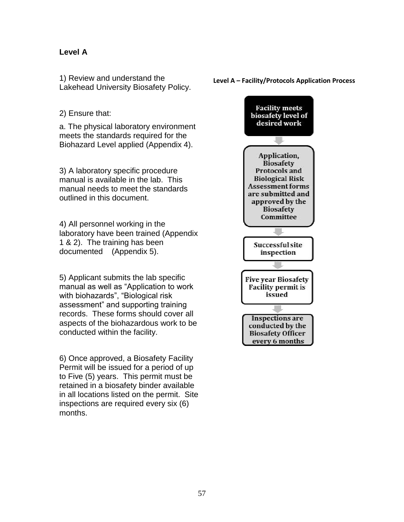#### **Level A**

1) Review and understand the Lakehead University Biosafety Policy.

2) Ensure that:

a. The physical laboratory environment meets the standards required for the Biohazard Level applied (Appendix 4).

3) A laboratory specific procedure manual is available in the lab. This manual needs to meet the standards outlined in this document.

4) All personnel working in the laboratory have been trained (Appendix 1 & 2). The training has been documented (Appendix 5).

5) Applicant submits the lab specific manual as well as "Application to work with biohazards", "Biological risk assessment" and supporting training records. These forms should cover all aspects of the biohazardous work to be conducted within the facility.

6) Once approved, a Biosafety Facility Permit will be issued for a period of up to Five (5) years. This permit must be retained in a biosafety binder available in all locations listed on the permit. Site inspections are required every six (6) months.

#### **Level A – Facility/Protocols Application Process**

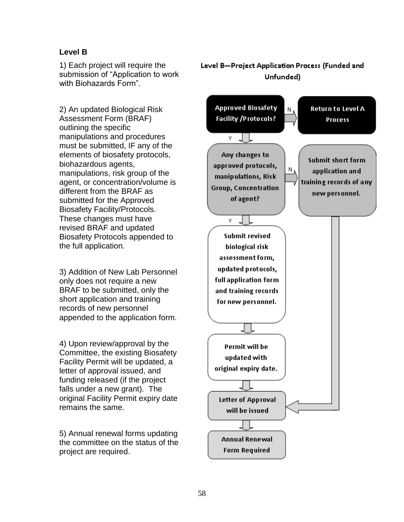#### **Level B**

1) Each project will require the submission of "Application to work with Biohazards Form".

2) An updated Biological Risk Assessment Form (BRAF) outlining the specific manipulations and procedures must be submitted, IF any of the elements of biosafety protocols, biohazardous agents, manipulations, risk group of the agent, or concentration/volume is different from the BRAF as submitted for the Approved Biosafety Facility/Protocols. These changes must have revised BRAF and updated Biosafety Protocols appended to the full application.

3) Addition of New Lab Personnel only does not require a new BRAF to be submitted, only the short application and training records of new personnel appended to the application form.

4) Upon review/approval by the Committee, the existing Biosafety Facility Permit will be updated, a letter of approval issued, and funding released (if the project falls under a new grant). The original Facility Permit expiry date remains the same.

5) Annual renewal forms updating the committee on the status of the project are required.

#### Level B-Project Application Process (Funded and Unfunded)

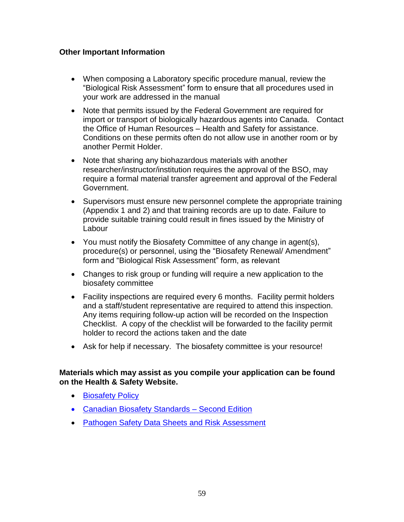#### **Other Important Information**

- When composing a Laboratory specific procedure manual, review the "Biological Risk Assessment" form to ensure that all procedures used in your work are addressed in the manual
- Note that permits issued by the Federal Government are required for import or transport of biologically hazardous agents into Canada. Contact the Office of Human Resources – Health and Safety for assistance. Conditions on these permits often do not allow use in another room or by another Permit Holder.
- Note that sharing any biohazardous materials with another researcher/instructor/institution requires the approval of the BSO, may require a formal material transfer agreement and approval of the Federal Government.
- Supervisors must ensure new personnel complete the appropriate training (Appendix 1 and 2) and that training records are up to date. Failure to provide suitable training could result in fines issued by the Ministry of Labour
- You must notify the Biosafety Committee of any change in agent(s), procedure(s) or personnel, using the "Biosafety Renewal/ Amendment" form and "Biological Risk Assessment" form, as relevant
- Changes to risk group or funding will require a new application to the biosafety committee
- Facility inspections are required every 6 months. Facility permit holders and a staff/student representative are required to attend this inspection. Any items requiring follow-up action will be recorded on the Inspection Checklist. A copy of the checklist will be forwarded to the facility permit holder to record the actions taken and the date
- Ask for help if necessary. The biosafety committee is your resource!

#### **Materials which may assist as you compile your application can be found on the Health & Safety Website.**

- **•** [Biosafety Policy](https://www.lakeheadu.ca/faculty-and-staff/policies/health-and-safety/biosafety)
- [Canadian Biosafety Standards](http://canadianbiosafetystandards.collaboration.gc.ca/cbs-ncb/index-eng.php) Second Edition
- [Pathogen Safety Data Sheets and Risk Assessment](http://www.phac-aspc.gc.ca/lab-bio/res/psds-ftss/index-eng.php)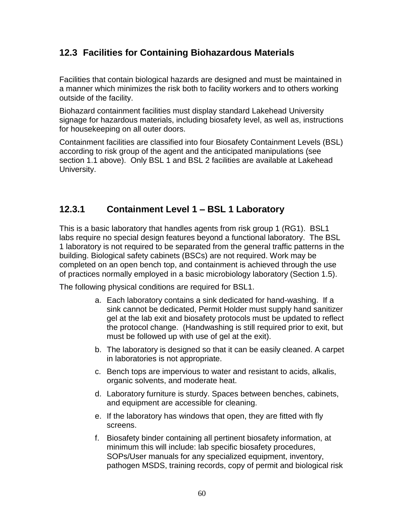## **12.3 Facilities for Containing Biohazardous Materials**

Facilities that contain biological hazards are designed and must be maintained in a manner which minimizes the risk both to facility workers and to others working outside of the facility.

Biohazard containment facilities must display standard Lakehead University signage for hazardous materials, including biosafety level, as well as, instructions for housekeeping on all outer doors.

Containment facilities are classified into four Biosafety Containment Levels (BSL) according to risk group of the agent and the anticipated manipulations (see section 1.1 above). Only BSL 1 and BSL 2 facilities are available at Lakehead University.

## **12.3.1 Containment Level 1 – BSL 1 Laboratory**

This is a basic laboratory that handles agents from risk group 1 (RG1). BSL1 labs require no special design features beyond a functional laboratory. The BSL 1 laboratory is not required to be separated from the general traffic patterns in the building. Biological safety cabinets (BSCs) are not required. Work may be completed on an open bench top, and containment is achieved through the use of practices normally employed in a basic microbiology laboratory (Section 1.5).

The following physical conditions are required for BSL1.

- a. Each laboratory contains a sink dedicated for hand-washing. If a sink cannot be dedicated, Permit Holder must supply hand sanitizer gel at the lab exit and biosafety protocols must be updated to reflect the protocol change. (Handwashing is still required prior to exit, but must be followed up with use of gel at the exit).
- b. The laboratory is designed so that it can be easily cleaned. A carpet in laboratories is not appropriate.
- c. Bench tops are impervious to water and resistant to acids, alkalis, organic solvents, and moderate heat.
- d. Laboratory furniture is sturdy. Spaces between benches, cabinets, and equipment are accessible for cleaning.
- e. If the laboratory has windows that open, they are fitted with fly screens.
- f. Biosafety binder containing all pertinent biosafety information, at minimum this will include: lab specific biosafety procedures, SOPs/User manuals for any specialized equipment, inventory, pathogen MSDS, training records, copy of permit and biological risk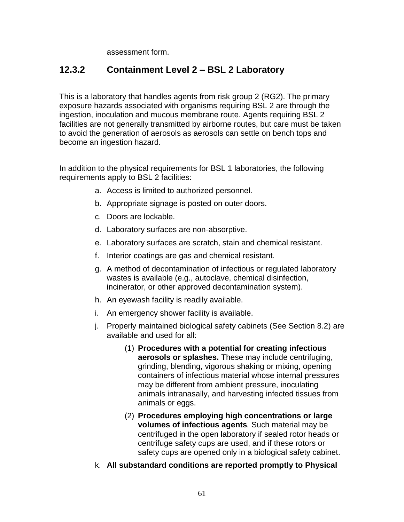assessment form.

### **12.3.2 Containment Level 2 – BSL 2 Laboratory**

This is a laboratory that handles agents from risk group 2 (RG2). The primary exposure hazards associated with organisms requiring BSL 2 are through the ingestion, inoculation and mucous membrane route. Agents requiring BSL 2 facilities are not generally transmitted by airborne routes, but care must be taken to avoid the generation of aerosols as aerosols can settle on bench tops and become an ingestion hazard.

In addition to the physical requirements for BSL 1 laboratories, the following requirements apply to BSL 2 facilities:

- a. Access is limited to authorized personnel.
- b. Appropriate signage is posted on outer doors.
- c. Doors are lockable.
- d. Laboratory surfaces are non-absorptive.
- e. Laboratory surfaces are scratch, stain and chemical resistant.
- f. Interior coatings are gas and chemical resistant.
- g. A method of decontamination of infectious or regulated laboratory wastes is available (e.g., autoclave, chemical disinfection, incinerator, or other approved decontamination system).
- h. An eyewash facility is readily available.
- i. An emergency shower facility is available.
- j. Properly maintained biological safety cabinets (See Section 8.2) are available and used for all:
	- (1) **Procedures with a potential for creating infectious aerosols or splashes.** These may include centrifuging, grinding, blending, vigorous shaking or mixing, opening containers of infectious material whose internal pressures may be different from ambient pressure, inoculating animals intranasally, and harvesting infected tissues from animals or eggs.
	- (2) **Procedures employing high concentrations or large volumes of infectious agents***.* Such material may be centrifuged in the open laboratory if sealed rotor heads or centrifuge safety cups are used, and if these rotors or safety cups are opened only in a biological safety cabinet.
- k. **All substandard conditions are reported promptly to Physical**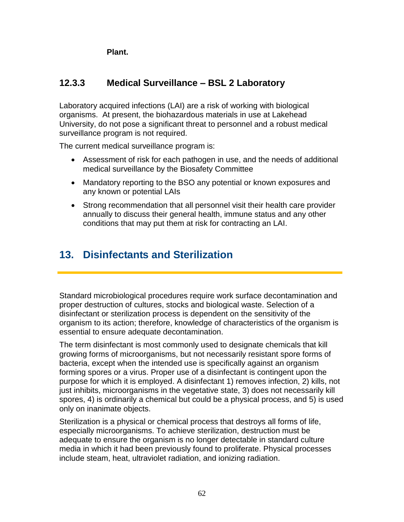**Plant.**

## **12.3.3 Medical Surveillance – BSL 2 Laboratory**

Laboratory acquired infections (LAI) are a risk of working with biological organisms. At present, the biohazardous materials in use at Lakehead University, do not pose a significant threat to personnel and a robust medical surveillance program is not required.

The current medical surveillance program is:

- Assessment of risk for each pathogen in use, and the needs of additional medical surveillance by the Biosafety Committee
- Mandatory reporting to the BSO any potential or known exposures and any known or potential LAIs
- Strong recommendation that all personnel visit their health care provider annually to discuss their general health, immune status and any other conditions that may put them at risk for contracting an LAI.

# **13. Disinfectants and Sterilization**

Standard microbiological procedures require work surface decontamination and proper destruction of cultures, stocks and biological waste. Selection of a disinfectant or sterilization process is dependent on the sensitivity of the organism to its action; therefore, knowledge of characteristics of the organism is essential to ensure adequate decontamination.

The term disinfectant is most commonly used to designate chemicals that kill growing forms of microorganisms, but not necessarily resistant spore forms of bacteria, except when the intended use is specifically against an organism forming spores or a virus. Proper use of a disinfectant is contingent upon the purpose for which it is employed. A disinfectant 1) removes infection, 2) kills, not just inhibits, microorganisms in the vegetative state, 3) does not necessarily kill spores, 4) is ordinarily a chemical but could be a physical process, and 5) is used only on inanimate objects.

Sterilization is a physical or chemical process that destroys all forms of life, especially microorganisms. To achieve sterilization, destruction must be adequate to ensure the organism is no longer detectable in standard culture media in which it had been previously found to proliferate. Physical processes include steam, heat, ultraviolet radiation, and ionizing radiation.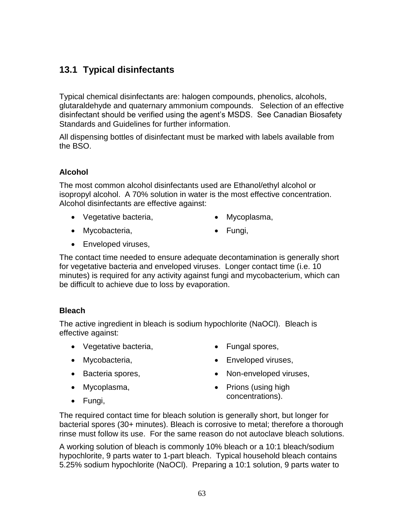## **13.1 Typical disinfectants**

Typical chemical disinfectants are: halogen compounds, phenolics, alcohols, glutaraldehyde and quaternary ammonium compounds. Selection of an effective disinfectant should be verified using the agent's MSDS. See Canadian Biosafety Standards and Guidelines for further information.

All dispensing bottles of disinfectant must be marked with labels available from the BSO.

#### **Alcohol**

The most common alcohol disinfectants used are Ethanol/ethyl alcohol or isopropyl alcohol. A 70% solution in water is the most effective concentration. Alcohol disinfectants are effective against:

• Vegetative bacteria,

• Mycoplasma,

Mycobacteria,

• Fungi,

• Enveloped viruses,

The contact time needed to ensure adequate decontamination is generally short for vegetative bacteria and enveloped viruses. Longer contact time (i.e. 10 minutes) is required for any activity against fungi and mycobacterium, which can be difficult to achieve due to loss by evaporation.

#### **Bleach**

The active ingredient in bleach is sodium hypochlorite (NaOCl). Bleach is effective against:

- Vegetative bacteria,
- Mycobacteria,
- Bacteria spores,
- Mycoplasma,
- Fungal spores,
- Enveloped viruses,
- Non-enveloped viruses,
	- Prions (using high concentrations).

• Fungi,

The required contact time for bleach solution is generally short, but longer for bacterial spores (30+ minutes). Bleach is corrosive to metal; therefore a thorough rinse must follow its use. For the same reason do not autoclave bleach solutions.

A working solution of bleach is commonly 10% bleach or a 10:1 bleach/sodium hypochlorite, 9 parts water to 1-part bleach. Typical household bleach contains 5.25% sodium hypochlorite (NaOCl). Preparing a 10:1 solution, 9 parts water to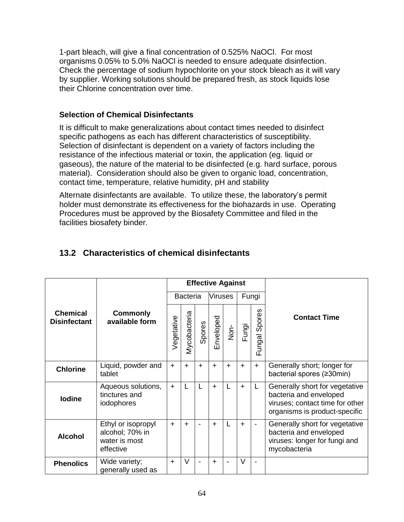1-part bleach, will give a final concentration of 0.525% NaOCl. For most organisms 0.05% to 5.0% NaOCl is needed to ensure adequate disinfection. Check the percentage of sodium hypochlorite on your stock bleach as it will vary by supplier. Working solutions should be prepared fresh, as stock liquids lose their Chlorine concentration over time.

#### **Selection of Chemical Disinfectants**

It is difficult to make generalizations about contact times needed to disinfect specific pathogens as each has different characteristics of susceptibility. Selection of disinfectant is dependent on a variety of factors including the resistance of the infectious material or toxin, the application (eg. liquid or gaseous), the nature of the material to be disinfected (e.g. hard surface, porous material). Consideration should also be given to organic load, concentration, contact time, temperature, relative humidity, pH and stability

Alternate disinfectants are available. To utilize these, the laboratory's permit holder must demonstrate its effectiveness for the biohazards in use. Operating Procedures must be approved by the Biosafety Committee and filed in the facilities biosafety binder.

|                                        |                                                                     |            |                 |        | <b>Effective Against</b> |               |           |                              |                                                                                                                              |
|----------------------------------------|---------------------------------------------------------------------|------------|-----------------|--------|--------------------------|---------------|-----------|------------------------------|------------------------------------------------------------------------------------------------------------------------------|
|                                        |                                                                     |            | <b>Bacteria</b> |        | <b>Viruses</b>           |               | Fungi     |                              |                                                                                                                              |
| <b>Chemical</b><br><b>Disinfectant</b> | <b>Commonly</b><br>available form                                   | Vegetative | Vlycobacteria   | Spores | nveloped<br>Ш            | $\frac{1}{2}$ | Fungi     | w<br><b>Spores</b><br>Fungal | <b>Contact Time</b>                                                                                                          |
| <b>Chlorine</b>                        | Liquid, powder and<br>tablet                                        | $+$        | $+$             | $+$    | $+$                      | $+$           | $+$       | $\ddot{}$                    | Generally short; longer for<br>bacterial spores (≥30min)                                                                     |
| <b>lodine</b>                          | Aqueous solutions,<br>tinctures and<br>iodophores                   | $+$        |                 |        | $+$                      | L             | $+$       | L                            | Generally short for vegetative<br>bacteria and enveloped<br>viruses; contact time for other<br>organisms is product-specific |
| <b>Alcohol</b>                         | Ethyl or isopropyl<br>alcohol; 70% in<br>water is most<br>effective | $+$        | $\ddot{}$       |        | $+$                      | L             | $\ddot{}$ | $\blacksquare$               | Generally short for vegetative<br>bacteria and enveloped<br>viruses: longer for fungi and<br>mycobacteria                    |
| <b>Phenolics</b>                       | Wide variety;<br>generally used as                                  | $\ddot{}$  | $\vee$          |        | $\ddot{}$                |               | $\vee$    |                              |                                                                                                                              |

### **13.2 Characteristics of chemical disinfectants**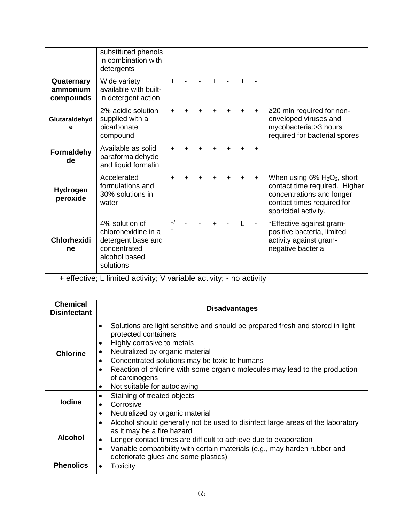|                                     | substituted phenols<br>in combination with<br>detergents                                                  |            |                          |     |     |                |              |                |                                                                                                                                                                            |
|-------------------------------------|-----------------------------------------------------------------------------------------------------------|------------|--------------------------|-----|-----|----------------|--------------|----------------|----------------------------------------------------------------------------------------------------------------------------------------------------------------------------|
| Quaternary<br>ammonium<br>compounds | Wide variety<br>available with built-<br>in detergent action                                              | $+$        | $\blacksquare$           |     | $+$ | $\blacksquare$ | $\ddot{}$    |                |                                                                                                                                                                            |
| Glutaraldehyd<br>е                  | 2% acidic solution<br>supplied with a<br>bicarbonate<br>compound                                          | $+$        | $+$                      | $+$ | $+$ | $+$            | $\ddot{}$    | $+$            | $\geq$ 20 min required for non-<br>enveloped viruses and<br>mycobacteria;>3 hours<br>required for bacterial spores                                                         |
| <b>Formaldehy</b><br>de             | Available as solid<br>paraformaldehyde<br>and liquid formalin                                             | $\ddot{}$  | $+$                      | $+$ | $+$ | $+$            | $\ddot{}$    | $\ddot{}$      |                                                                                                                                                                            |
| Hydrogen<br>peroxide                | Accelerated<br>formulations and<br>30% solutions in<br>water                                              | $+$        | $+$                      | $+$ | $+$ | $+$            | $+$          | $\ddagger$     | When using $6\%$ H <sub>2</sub> O <sub>2</sub> , short<br>contact time required. Higher<br>concentrations and longer<br>contact times required for<br>sporicidal activity. |
| <b>Chlorhexidi</b><br>ne            | 4% solution of<br>chlorohexidine in a<br>detergent base and<br>concentrated<br>alcohol based<br>solutions | $+$ /<br>L | $\overline{\phantom{a}}$ |     | $+$ | $\blacksquare$ | $\mathsf{L}$ | $\blacksquare$ | *Effective against gram-<br>positive bacteria, limited<br>activity against gram-<br>negative bacteria                                                                      |

+ effective; L limited activity; V variable activity; - no activity

| <b>Chemical</b><br><b>Disinfectant</b> | <b>Disadvantages</b>                                                                                                                                                                                                                                                                                                                                                                     |  |  |  |  |
|----------------------------------------|------------------------------------------------------------------------------------------------------------------------------------------------------------------------------------------------------------------------------------------------------------------------------------------------------------------------------------------------------------------------------------------|--|--|--|--|
| <b>Chlorine</b>                        | Solutions are light sensitive and should be prepared fresh and stored in light<br>$\bullet$<br>protected containers<br>Highly corrosive to metals<br>Neutralized by organic material<br>٠<br>Concentrated solutions may be toxic to humans<br>Reaction of chlorine with some organic molecules may lead to the production<br>of carcinogens<br>Not suitable for autoclaving<br>$\bullet$ |  |  |  |  |
| <b>lodine</b>                          | Staining of treated objects<br>٠<br>Corrosive<br>Neutralized by organic material<br>$\bullet$                                                                                                                                                                                                                                                                                            |  |  |  |  |
| <b>Alcohol</b>                         | Alcohol should generally not be used to disinfect large areas of the laboratory<br>$\bullet$<br>as it may be a fire hazard<br>Longer contact times are difficult to achieve due to evaporation<br>$\bullet$<br>Variable compatibility with certain materials (e.g., may harden rubber and<br>deteriorate glues and some plastics)                                                        |  |  |  |  |
| <b>Phenolics</b>                       | Toxicity<br>$\bullet$                                                                                                                                                                                                                                                                                                                                                                    |  |  |  |  |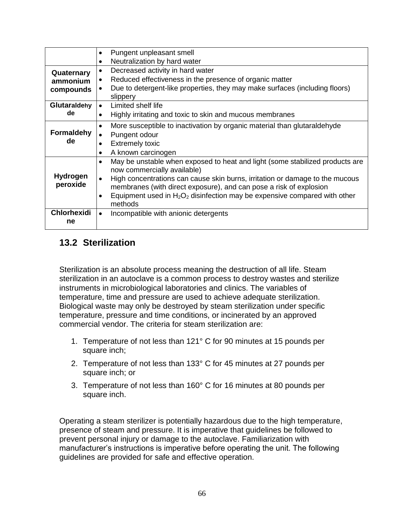|                      | Pungent unpleasant smell                                                                  |  |  |  |  |  |  |  |
|----------------------|-------------------------------------------------------------------------------------------|--|--|--|--|--|--|--|
|                      | Neutralization by hard water<br>$\bullet$                                                 |  |  |  |  |  |  |  |
| Quaternary           | Decreased activity in hard water<br>٠                                                     |  |  |  |  |  |  |  |
| ammonium             | Reduced effectiveness in the presence of organic matter                                   |  |  |  |  |  |  |  |
| compounds            | Due to detergent-like properties, they may make surfaces (including floors)<br>slippery   |  |  |  |  |  |  |  |
| Glutaraldehy         | Limited shelf life<br>$\bullet$                                                           |  |  |  |  |  |  |  |
| de                   | Highly irritating and toxic to skin and mucous membranes<br>$\bullet$                     |  |  |  |  |  |  |  |
|                      | More susceptible to inactivation by organic material than glutaraldehyde<br>$\bullet$     |  |  |  |  |  |  |  |
| <b>Formaldehy</b>    | Pungent odour                                                                             |  |  |  |  |  |  |  |
| de                   | <b>Extremely toxic</b><br>$\bullet$                                                       |  |  |  |  |  |  |  |
|                      | A known carcinogen                                                                        |  |  |  |  |  |  |  |
|                      | May be unstable when exposed to heat and light (some stabilized products are              |  |  |  |  |  |  |  |
|                      | now commercially available)                                                               |  |  |  |  |  |  |  |
| Hydrogen<br>peroxide | High concentrations can cause skin burns, irritation or damage to the mucous<br>$\bullet$ |  |  |  |  |  |  |  |
|                      | membranes (with direct exposure), and can pose a risk of explosion                        |  |  |  |  |  |  |  |
|                      | Equipment used in $H_2O_2$ disinfection may be expensive compared with other<br>methods   |  |  |  |  |  |  |  |
| <b>Chlorhexidi</b>   | Incompatible with anionic detergents<br>$\bullet$                                         |  |  |  |  |  |  |  |
| ne                   |                                                                                           |  |  |  |  |  |  |  |
|                      |                                                                                           |  |  |  |  |  |  |  |

### **13.2 Sterilization**

Sterilization is an absolute process meaning the destruction of all life. Steam sterilization in an autoclave is a common process to destroy wastes and sterilize instruments in microbiological laboratories and clinics. The variables of temperature, time and pressure are used to achieve adequate sterilization. Biological waste may only be destroyed by steam sterilization under specific temperature, pressure and time conditions, or incinerated by an approved commercial vendor. The criteria for steam sterilization are:

- 1. Temperature of not less than 121° C for 90 minutes at 15 pounds per square inch;
- 2. Temperature of not less than 133° C for 45 minutes at 27 pounds per square inch; or
- 3. Temperature of not less than 160° C for 16 minutes at 80 pounds per square inch.

Operating a steam sterilizer is potentially hazardous due to the high temperature, presence of steam and pressure. It is imperative that guidelines be followed to prevent personal injury or damage to the autoclave. Familiarization with manufacturer's instructions is imperative before operating the unit. The following guidelines are provided for safe and effective operation.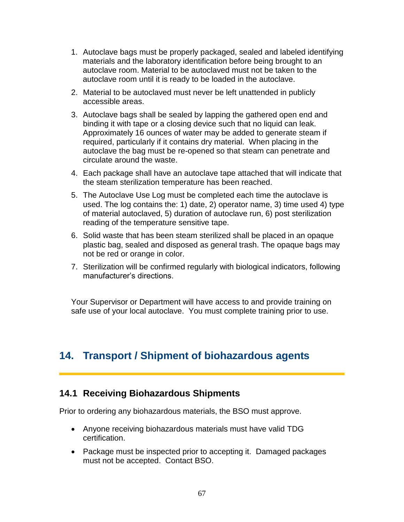- 1. Autoclave bags must be properly packaged, sealed and labeled identifying materials and the laboratory identification before being brought to an autoclave room. Material to be autoclaved must not be taken to the autoclave room until it is ready to be loaded in the autoclave.
- 2. Material to be autoclaved must never be left unattended in publicly accessible areas.
- 3. Autoclave bags shall be sealed by lapping the gathered open end and binding it with tape or a closing device such that no liquid can leak. Approximately 16 ounces of water may be added to generate steam if required, particularly if it contains dry material. When placing in the autoclave the bag must be re-opened so that steam can penetrate and circulate around the waste.
- 4. Each package shall have an autoclave tape attached that will indicate that the steam sterilization temperature has been reached.
- 5. The Autoclave Use Log must be completed each time the autoclave is used. The log contains the: 1) date, 2) operator name, 3) time used 4) type of material autoclaved, 5) duration of autoclave run, 6) post sterilization reading of the temperature sensitive tape.
- 6. Solid waste that has been steam sterilized shall be placed in an opaque plastic bag, sealed and disposed as general trash. The opaque bags may not be red or orange in color.
- 7. Sterilization will be confirmed regularly with biological indicators, following manufacturer's directions.

Your Supervisor or Department will have access to and provide training on safe use of your local autoclave. You must complete training prior to use.

# **14. Transport / Shipment of biohazardous agents**

### **14.1 Receiving Biohazardous Shipments**

Prior to ordering any biohazardous materials, the BSO must approve.

- Anyone receiving biohazardous materials must have valid TDG certification.
- Package must be inspected prior to accepting it. Damaged packages must not be accepted. Contact BSO.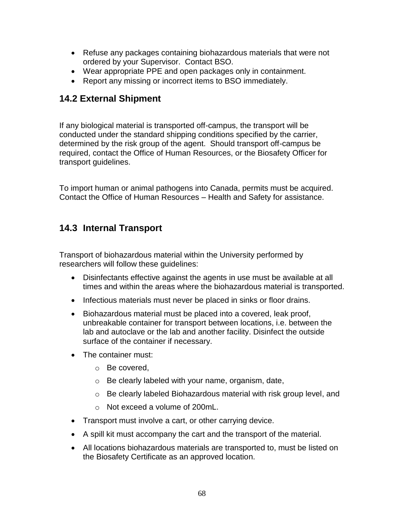- Refuse any packages containing biohazardous materials that were not ordered by your Supervisor. Contact BSO.
- Wear appropriate PPE and open packages only in containment.
- Report any missing or incorrect items to BSO immediately.

### **14.2 External Shipment**

If any biological material is transported off-campus, the transport will be conducted under the standard shipping conditions specified by the carrier, determined by the risk group of the agent. Should transport off-campus be required, contact the Office of Human Resources, or the Biosafety Officer for transport guidelines.

To import human or animal pathogens into Canada, permits must be acquired. Contact the Office of Human Resources – Health and Safety for assistance.

### **14.3 Internal Transport**

Transport of biohazardous material within the University performed by researchers will follow these guidelines:

- Disinfectants effective against the agents in use must be available at all times and within the areas where the biohazardous material is transported.
- Infectious materials must never be placed in sinks or floor drains.
- Biohazardous material must be placed into a covered, leak proof, unbreakable container for transport between locations, i.e. between the lab and autoclave or the lab and another facility. Disinfect the outside surface of the container if necessary.
- The container must:
	- o Be covered,
	- o Be clearly labeled with your name, organism, date,
	- o Be clearly labeled Biohazardous material with risk group level, and
	- o Not exceed a volume of 200mL.
- Transport must involve a cart, or other carrying device.
- A spill kit must accompany the cart and the transport of the material.
- All locations biohazardous materials are transported to, must be listed on the Biosafety Certificate as an approved location.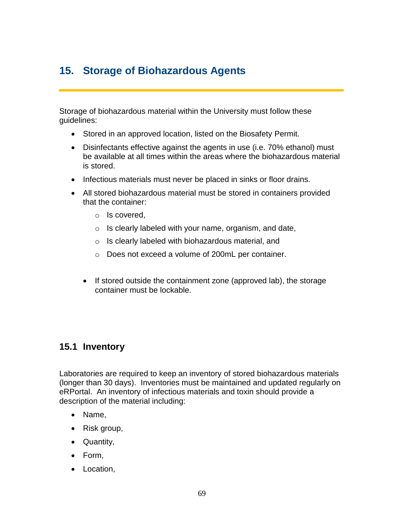# **15. Storage of Biohazardous Agents**

Storage of biohazardous material within the University must follow these guidelines:

- Stored in an approved location, listed on the Biosafety Permit.
- Disinfectants effective against the agents in use (i.e. 70% ethanol) must be available at all times within the areas where the biohazardous material is stored.
- Infectious materials must never be placed in sinks or floor drains.
- All stored biohazardous material must be stored in containers provided that the container:
	- o Is covered,
	- o Is clearly labeled with your name, organism, and date,
	- o Is clearly labeled with biohazardous material, and
	- o Does not exceed a volume of 200mL per container.
	- If stored outside the containment zone (approved lab), the storage container must be lockable.

#### **15.1 Inventory**

Laboratories are required to keep an inventory of stored biohazardous materials (longer than 30 days). Inventories must be maintained and updated regularly on eRPortal. An inventory of infectious materials and toxin should provide a description of the material including:

- Name.
- Risk group,
- Quantity,
- Form,
- Location,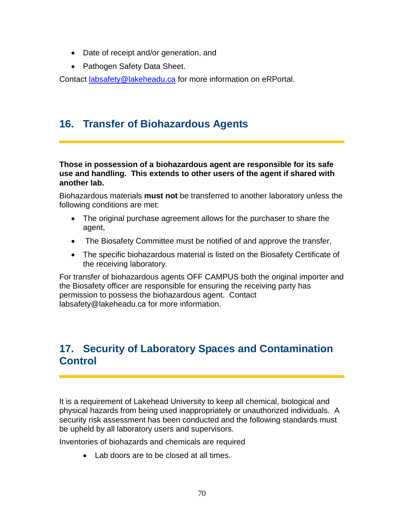- Date of receipt and/or generation, and
- Pathogen Safety Data Sheet.

Contact [labsafety@lakeheadu.ca](mailto:labsafety@lakeheadu.ca) for more information on eRPortal.

# **16. Transfer of Biohazardous Agents**

**Those in possession of a biohazardous agent are responsible for its safe use and handling. This extends to other users of the agent if shared with another lab.** 

Biohazardous materials **must not** be transferred to another laboratory unless the following conditions are met:

- The original purchase agreement allows for the purchaser to share the agent,
- The Biosafety Committee must be notified of and approve the transfer,
- The specific biohazardous material is listed on the Biosafety Certificate of the receiving laboratory.

For transfer of biohazardous agents OFF CAMPUS both the original importer and the Biosafety officer are responsible for ensuring the receiving party has permission to possess the biohazardous agent. Contact labsafety@lakeheadu.ca for more information.

# **17. Security of Laboratory Spaces and Contamination Control**

It is a requirement of Lakehead University to keep all chemical, biological and physical hazards from being used inappropriately or unauthorized individuals. A security risk assessment has been conducted and the following standards must be upheld by all laboratory users and supervisors.

Inventories of biohazards and chemicals are required

• Lab doors are to be closed at all times.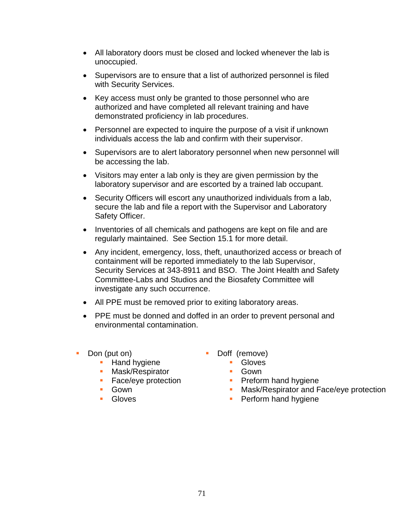- All laboratory doors must be closed and locked whenever the lab is unoccupied.
- Supervisors are to ensure that a list of authorized personnel is filed with Security Services.
- Key access must only be granted to those personnel who are authorized and have completed all relevant training and have demonstrated proficiency in lab procedures.
- Personnel are expected to inquire the purpose of a visit if unknown individuals access the lab and confirm with their supervisor.
- Supervisors are to alert laboratory personnel when new personnel will be accessing the lab.
- Visitors may enter a lab only is they are given permission by the laboratory supervisor and are escorted by a trained lab occupant.
- Security Officers will escort any unauthorized individuals from a lab, secure the lab and file a report with the Supervisor and Laboratory Safety Officer.
- Inventories of all chemicals and pathogens are kept on file and are regularly maintained. See Section 15.1 for more detail.
- Any incident, emergency, loss, theft, unauthorized access or breach of containment will be reported immediately to the lab Supervisor, Security Services at 343-8911 and BSO. The Joint Health and Safety Committee-Labs and Studios and the Biosafety Committee will investigate any such occurrence.
- All PPE must be removed prior to exiting laboratory areas.
- PPE must be donned and doffed in an order to prevent personal and environmental contamination.
- Don (put on)
	- Hand hygiene
	- **Mask/Respirator**
	- **Face/eye protection**
	- **Gown**
	- **Gloves**
- Doff (remove)
	- **Gloves**
	- **Gown**
	- **Preform hand hygiene**
	- **Mask/Respirator and Face/eye protection**
	- **Perform hand hygiene**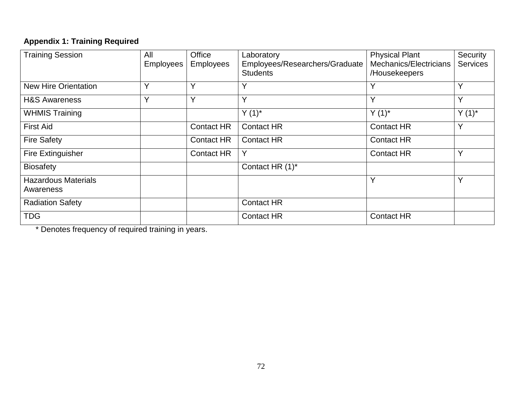### **Appendix 1: Training Required**

| <b>Training Session</b>                 | All<br><b>Employees</b> | Office<br><b>Employees</b> | Laboratory<br>Employees/Researchers/Graduate<br><b>Students</b> | <b>Physical Plant</b><br>Mechanics/Electricians<br>/Housekeepers | Security<br><b>Services</b> |
|-----------------------------------------|-------------------------|----------------------------|-----------------------------------------------------------------|------------------------------------------------------------------|-----------------------------|
| <b>New Hire Orientation</b>             | Υ                       | Y                          |                                                                 | Y                                                                | Υ                           |
| <b>H&amp;S Awareness</b>                | Υ                       | Y                          | Y                                                               | Y                                                                | Υ                           |
| <b>WHMIS Training</b>                   |                         |                            | $Y(1)^*$                                                        | $Y(1)^*$                                                         | $Y(1)^*$                    |
| <b>First Aid</b>                        |                         | <b>Contact HR</b>          | <b>Contact HR</b>                                               | <b>Contact HR</b>                                                | Y                           |
| <b>Fire Safety</b>                      |                         | <b>Contact HR</b>          | <b>Contact HR</b>                                               | <b>Contact HR</b>                                                |                             |
| <b>Fire Extinguisher</b>                |                         | <b>Contact HR</b>          | Y                                                               | <b>Contact HR</b>                                                | Y                           |
| <b>Biosafety</b>                        |                         |                            | Contact HR (1)*                                                 |                                                                  |                             |
| <b>Hazardous Materials</b><br>Awareness |                         |                            |                                                                 | Y                                                                | Υ                           |
| <b>Radiation Safety</b>                 |                         |                            | <b>Contact HR</b>                                               |                                                                  |                             |
| <b>TDG</b>                              |                         |                            | <b>Contact HR</b>                                               | <b>Contact HR</b>                                                |                             |

\* Denotes frequency of required training in years.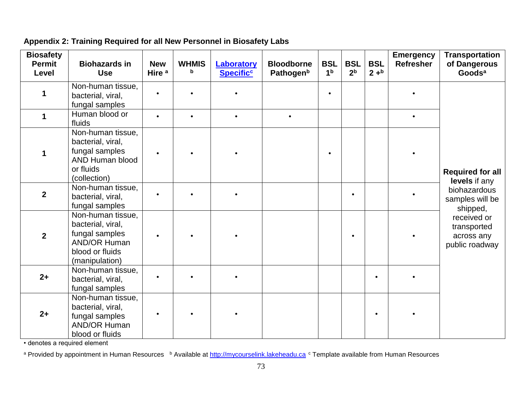| <b>Biosafety</b><br><b>Permit</b><br>Level | <b>Biohazards in</b><br><b>Use</b>                                                                                   | <b>New</b><br>Hire <sup>a</sup> | <b>WHMIS</b><br>b | Laboratory<br><b>Specific<sup>c</sup></b> | <b>Bloodborne</b><br><b>Pathogenb</b> | <b>BSL</b><br>1 <sup>b</sup> | <b>BSL</b><br>2 <sup>b</sup> | <b>BSL</b><br>$2 +b$ | <b>Emergency</b><br>Refresher | <b>Transportation</b><br>of Dangerous<br>Goods <sup>a</sup> |
|--------------------------------------------|----------------------------------------------------------------------------------------------------------------------|---------------------------------|-------------------|-------------------------------------------|---------------------------------------|------------------------------|------------------------------|----------------------|-------------------------------|-------------------------------------------------------------|
| 1                                          | Non-human tissue,<br>bacterial, viral,<br>fungal samples                                                             |                                 | $\bullet$         |                                           |                                       |                              |                              |                      |                               |                                                             |
| 1                                          | Human blood or<br>fluids                                                                                             |                                 | $\bullet$         |                                           | $\bullet$                             |                              |                              |                      |                               |                                                             |
| $\mathbf 1$                                | Non-human tissue,<br>bacterial, viral,<br>fungal samples<br>AND Human blood<br>or fluids<br>(collection)             |                                 |                   |                                           |                                       |                              |                              |                      |                               | <b>Required for all</b><br>levels if any                    |
| $\mathbf{2}$                               | Non-human tissue,<br>bacterial, viral,<br>fungal samples                                                             |                                 |                   |                                           |                                       |                              |                              |                      |                               | biohazardous<br>samples will be<br>shipped,                 |
| $\overline{2}$                             | Non-human tissue,<br>bacterial, viral,<br>fungal samples<br><b>AND/OR Human</b><br>blood or fluids<br>(manipulation) |                                 |                   |                                           |                                       |                              |                              |                      |                               | received or<br>transported<br>across any<br>public roadway  |
| $2+$                                       | Non-human tissue,<br>bacterial, viral,<br>fungal samples                                                             |                                 |                   |                                           |                                       |                              |                              |                      |                               |                                                             |
| $2+$                                       | Non-human tissue,<br>bacterial, viral,<br>fungal samples<br><b>AND/OR Human</b><br>blood or fluids                   |                                 |                   |                                           |                                       |                              |                              |                      |                               |                                                             |

### **Appendix 2: Training Required for all New Personnel in Biosafety Labs**

• denotes a required element

a Provided by appointment in Human Resources b Available at [http://mycourselink.lakeheadu.ca](http://mycourselink.lakeheadu.ca/) c Template available from Human Resources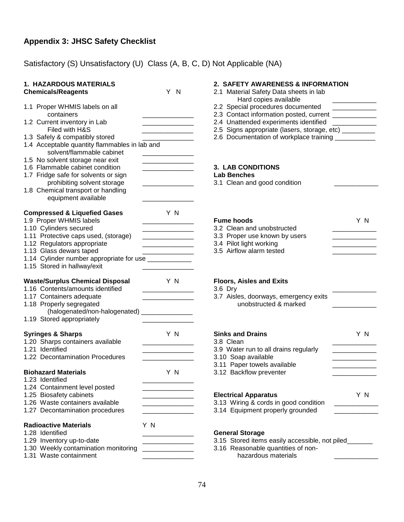### **Appendix 3: JHSC Safety Checklist**

Satisfactory (S) Unsatisfactory (U) Class (A, B, C, D) Not Applicable (NA)

| 1. HAZARDOUS MATERIALS                                                                | Y N                                                                                                                                                                                                                                  | 2. SAFETY AWARENESS & INFORMATION                                                                              |  |
|---------------------------------------------------------------------------------------|--------------------------------------------------------------------------------------------------------------------------------------------------------------------------------------------------------------------------------------|----------------------------------------------------------------------------------------------------------------|--|
| <b>Chemicals/Reagents</b>                                                             |                                                                                                                                                                                                                                      | 2.1 Material Safety Data sheets in lab<br>Hard copies available                                                |  |
| 1.1 Proper WHMIS labels on all                                                        |                                                                                                                                                                                                                                      | 2.2 Special procedures documented                                                                              |  |
| containers                                                                            |                                                                                                                                                                                                                                      | 2.3 Contact information posted, current ___________                                                            |  |
| 1.2 Current inventory in Lab                                                          |                                                                                                                                                                                                                                      | 2.4 Unattended experiments identified                                                                          |  |
| Filed with H&S<br>1.3 Safely & compatibly stored                                      |                                                                                                                                                                                                                                      | 2.5 Signs appropriate (lasers, storage, etc) _________<br>2.6 Documentation of workplace training ____________ |  |
| 1.4 Acceptable quantity flammables in lab and                                         |                                                                                                                                                                                                                                      |                                                                                                                |  |
| solvent/flammable cabinet                                                             |                                                                                                                                                                                                                                      |                                                                                                                |  |
| 1.5 No solvent storage near exit                                                      | <u> 1989 - Jan Stein Stein Stein Stein Stein Stein Stein Stein Stein Stein Stein Stein Stein Stein Stein Stein Stein Stein Stein Stein Stein Stein Stein Stein Stein Stein Stein Stein Stein Stein Stein Stein Stein Stein Stein</u> |                                                                                                                |  |
| 1.6 Flammable cabinet condition                                                       |                                                                                                                                                                                                                                      | <b>3. LAB CONDITIONS</b>                                                                                       |  |
| 1.7 Fridge safe for solvents or sign<br>prohibiting solvent storage                   |                                                                                                                                                                                                                                      | <b>Lab Benches</b><br>3.1 Clean and good condition                                                             |  |
| 1.8 Chemical transport or handling                                                    |                                                                                                                                                                                                                                      |                                                                                                                |  |
| equipment available                                                                   |                                                                                                                                                                                                                                      |                                                                                                                |  |
| <b>Compressed &amp; Liquefied Gases</b>                                               | Y N                                                                                                                                                                                                                                  |                                                                                                                |  |
| 1.9 Proper WHMIS labels                                                               |                                                                                                                                                                                                                                      | Y N<br><b>Fume hoods</b>                                                                                       |  |
| 1.10 Cylinders secured                                                                |                                                                                                                                                                                                                                      | 3.2 Clean and unobstructed                                                                                     |  |
| 1.11 Protective caps used, (storage)                                                  |                                                                                                                                                                                                                                      | 3.3 Proper use known by users<br><u> 1989 - Johann Barbara, martin basa</u>                                    |  |
| 1.12 Regulators appropriate                                                           | <u> 1989 - Johann John Stein, fransk politik (</u>                                                                                                                                                                                   | 3.4 Pilot light working                                                                                        |  |
| 1.13 Glass dewars taped                                                               |                                                                                                                                                                                                                                      | 3.5 Airflow alarm tested                                                                                       |  |
| 1.14 Cylinder number appropriate for use _____________<br>1.15 Stored in hallway/exit |                                                                                                                                                                                                                                      |                                                                                                                |  |
|                                                                                       |                                                                                                                                                                                                                                      |                                                                                                                |  |
| <b>Waste/Surplus Chemical Disposal</b>                                                | Y N                                                                                                                                                                                                                                  | <b>Floors, Aisles and Exits</b>                                                                                |  |
| 1.16 Contents/amounts identified                                                      |                                                                                                                                                                                                                                      | 3.6 Dry                                                                                                        |  |
| 1.17 Containers adequate                                                              |                                                                                                                                                                                                                                      | 3.7 Aisles, doorways, emergency exits<br>unobstructed & marked                                                 |  |
| 1.18 Properly segregated<br>(halogenated/non-halogenated) _______________             |                                                                                                                                                                                                                                      |                                                                                                                |  |
| 1.19 Stored appropriately                                                             |                                                                                                                                                                                                                                      |                                                                                                                |  |
|                                                                                       |                                                                                                                                                                                                                                      |                                                                                                                |  |
| <b>Syringes &amp; Sharps</b><br>1.20 Sharps containers available                      | Y N                                                                                                                                                                                                                                  | <b>Sinks and Drains</b><br>Y N<br>3.8 Clean                                                                    |  |
| 1.21 Identified                                                                       | <u> 1980 - Johann Barbara, martin a</u>                                                                                                                                                                                              | 3.9 Water run to all drains regularly<br><u> 1989 - Johann Barbara, martin basa</u>                            |  |
| 1.22 Decontamination Procedures                                                       |                                                                                                                                                                                                                                      | 3.10 Soap available                                                                                            |  |
|                                                                                       |                                                                                                                                                                                                                                      | 3.11 Paper towels available                                                                                    |  |
| <b>Biohazard Materials</b>                                                            | Y N                                                                                                                                                                                                                                  | 3.12 Backflow preventer                                                                                        |  |
| 1.23 Identified                                                                       |                                                                                                                                                                                                                                      |                                                                                                                |  |
| 1.24 Containment level posted                                                         |                                                                                                                                                                                                                                      |                                                                                                                |  |
| 1.25 Biosafety cabinets<br>1.26 Waste containers available                            |                                                                                                                                                                                                                                      | Y N<br><b>Electrical Apparatus</b><br>3.13 Wiring & cords in good condition                                    |  |
| 1.27 Decontamination procedures                                                       | the control of the control of the                                                                                                                                                                                                    | 3.14 Equipment properly grounded                                                                               |  |
|                                                                                       |                                                                                                                                                                                                                                      |                                                                                                                |  |
|                                                                                       |                                                                                                                                                                                                                                      |                                                                                                                |  |
| <b>Radioactive Materials</b>                                                          | Y N                                                                                                                                                                                                                                  |                                                                                                                |  |
| 1.28 Identified                                                                       |                                                                                                                                                                                                                                      | <b>General Storage</b>                                                                                         |  |
| 1.29 Inventory up-to-date                                                             |                                                                                                                                                                                                                                      | 3.15 Stored items easily accessible, not piled                                                                 |  |
| 1.30 Weekly contamination monitoring<br>1.31 Waste containment                        |                                                                                                                                                                                                                                      | 3.16 Reasonable quantities of non-<br>hazardous materials                                                      |  |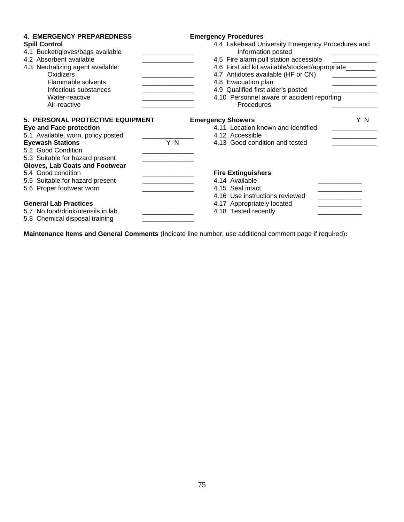| <b>4. EMERGENCY PREPAREDNESS</b><br><b>Spill Control</b><br>4.1 Bucket/gloves/bags available<br>4.2 Absorbent available<br>4.3 Neutralizing agent available:<br>Oxidizers<br>Flammable solvents<br>Infectious substances<br>Water-reactive<br>Air-reactive | <b>Emergency Procedures</b><br>4.4 Lakehead University Emergency Procedures and<br>Information posted<br>4.5 Fire alarm pull station accessible<br>4.6 First aid kit available/stocked/appropriate____<br>4.7 Antidotes available (HF or CN)<br>4.8 Evacuation plan<br>4.9 Qualified first aider's posted<br>4.10 Personnel aware of accident reporting<br>Procedures |     |
|------------------------------------------------------------------------------------------------------------------------------------------------------------------------------------------------------------------------------------------------------------|-----------------------------------------------------------------------------------------------------------------------------------------------------------------------------------------------------------------------------------------------------------------------------------------------------------------------------------------------------------------------|-----|
| 5. PERSONAL PROTECTIVE EQUIPMENT<br><b>Eye and Face protection</b><br>5.1 Available, worn, policy posted<br><b>Eyewash Stations</b><br>5.2 Good Condition<br>5.3 Suitable for hazard present                                                               | <b>Emergency Showers</b><br>4.11 Location known and identified<br>4.12 Accessible<br>Y N<br>4.13 Good condition and tested                                                                                                                                                                                                                                            | Y N |
| Gloves, Lab Coats and Footwear<br>5.4 Good condition<br>5.5 Suitable for hazard present<br>5.6 Proper footwear worn<br><b>General Lab Practices</b><br>5.7 No food/drink/utensils in lab<br>5.8 Chemical disposal training                                 | <b>Fire Extinguishers</b><br>4.14 Available<br>4.15 Seal intact<br>4.16 Use instructions reviewed<br>4.17 Appropriately located<br>4.18 Tested recently                                                                                                                                                                                                               |     |

**Maintenance Items and General Comments** (Indicate line number, use additional comment page if required)**:**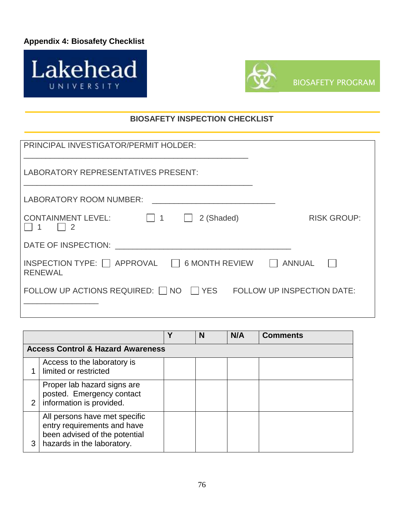**Appendix 4: Biosafety Checklist**





### **BIOSAFETY INSPECTION CHECKLIST**

| PRINCIPAL INVESTIGATOR/PERMIT HOLDER:                                       |                    |
|-----------------------------------------------------------------------------|--------------------|
| LABORATORY REPRESENTATIVES PRESENT:                                         |                    |
| LABORATORY ROOM NUMBER:                                                     |                    |
| <b>CONTAINMENT LEVEL:</b><br>2 (Shaded)<br>$\vert$ 1<br>$\overline{2}$      | <b>RISK GROUP:</b> |
| DATE OF INSPECTION: THE STATE OF INSPECTION:                                |                    |
| INSPECTION TYPE:     APPROVAL     6 MONTH REVIEW<br><b>RENEWAL</b>          | <b>ANNUAL</b>      |
| FOLLOW UP ACTIONS REQUIRED: $\Box$ NO $\Box$ YES FOLLOW UP INSPECTION DATE: |                    |
|                                                                             |                    |

|   |                                                                                                                             |  | N | N/A | <b>Comments</b> |  |  |
|---|-----------------------------------------------------------------------------------------------------------------------------|--|---|-----|-----------------|--|--|
|   | <b>Access Control &amp; Hazard Awareness</b>                                                                                |  |   |     |                 |  |  |
|   | Access to the laboratory is<br>limited or restricted                                                                        |  |   |     |                 |  |  |
| 2 | Proper lab hazard signs are<br>posted. Emergency contact<br>information is provided.                                        |  |   |     |                 |  |  |
| 3 | All persons have met specific<br>entry requirements and have<br>been advised of the potential<br>hazards in the laboratory. |  |   |     |                 |  |  |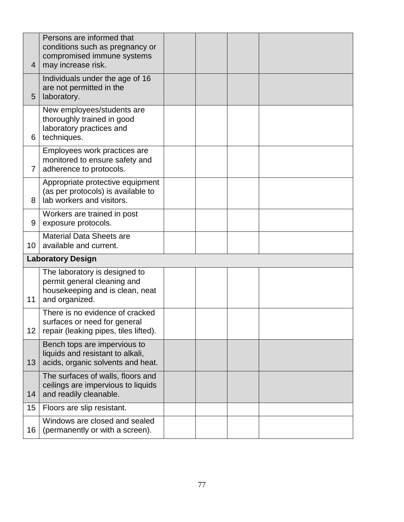| 4  | Persons are informed that<br>conditions such as pregnancy or<br>compromised immune systems<br>may increase risk.  |  |  |
|----|-------------------------------------------------------------------------------------------------------------------|--|--|
| 5  | Individuals under the age of 16<br>are not permitted in the<br>laboratory.                                        |  |  |
| 6  | New employees/students are<br>thoroughly trained in good<br>laboratory practices and<br>techniques.               |  |  |
| 7  | Employees work practices are<br>monitored to ensure safety and<br>adherence to protocols.                         |  |  |
| 8  | Appropriate protective equipment<br>(as per protocols) is available to<br>lab workers and visitors.               |  |  |
| 9  | Workers are trained in post<br>exposure protocols.                                                                |  |  |
| 10 | <b>Material Data Sheets are</b><br>available and current.                                                         |  |  |
|    | <b>Laboratory Design</b>                                                                                          |  |  |
| 11 | The laboratory is designed to<br>permit general cleaning and<br>housekeeping and is clean, neat<br>and organized. |  |  |
| 12 | There is no evidence of cracked<br>surfaces or need for general<br>repair (leaking pipes, tiles lifted).          |  |  |
| 13 | Bench tops are impervious to<br>liquids and resistant to alkali,<br>acids, organic solvents and heat.             |  |  |
| 14 | The surfaces of walls, floors and<br>ceilings are impervious to liquids<br>and readily cleanable.                 |  |  |
| 15 | Floors are slip resistant.                                                                                        |  |  |
| 16 | Windows are closed and sealed<br>(permanently or with a screen).                                                  |  |  |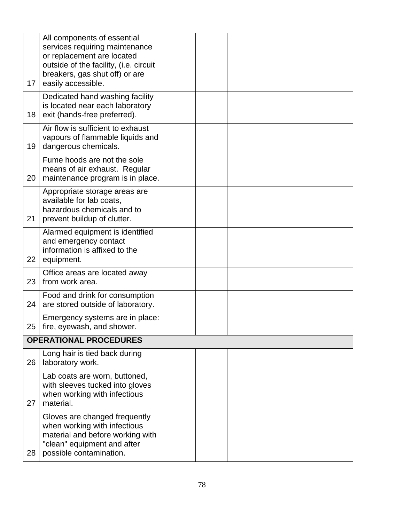| 17 | All components of essential<br>services requiring maintenance<br>or replacement are located<br>outside of the facility, (i.e. circuit<br>breakers, gas shut off) or are<br>easily accessible. |  |  |
|----|-----------------------------------------------------------------------------------------------------------------------------------------------------------------------------------------------|--|--|
| 18 | Dedicated hand washing facility<br>is located near each laboratory<br>exit (hands-free preferred).                                                                                            |  |  |
| 19 | Air flow is sufficient to exhaust<br>vapours of flammable liquids and<br>dangerous chemicals.                                                                                                 |  |  |
| 20 | Fume hoods are not the sole<br>means of air exhaust. Regular<br>maintenance program is in place.                                                                                              |  |  |
| 21 | Appropriate storage areas are<br>available for lab coats,<br>hazardous chemicals and to<br>prevent buildup of clutter.                                                                        |  |  |
| 22 | Alarmed equipment is identified<br>and emergency contact<br>information is affixed to the<br>equipment.                                                                                       |  |  |
| 23 | Office areas are located away<br>from work area.                                                                                                                                              |  |  |
| 24 | Food and drink for consumption<br>are stored outside of laboratory.                                                                                                                           |  |  |
|    | Emergency systems are in place:<br>25   fire, eyewash, and shower.                                                                                                                            |  |  |
|    | <b>OPERATIONAL PROCEDURES</b>                                                                                                                                                                 |  |  |
| 26 | Long hair is tied back during<br>laboratory work.                                                                                                                                             |  |  |
| 27 | Lab coats are worn, buttoned,<br>with sleeves tucked into gloves<br>when working with infectious<br>material.                                                                                 |  |  |
| 28 | Gloves are changed frequently<br>when working with infectious<br>material and before working with<br>"clean" equipment and after<br>possible contamination.                                   |  |  |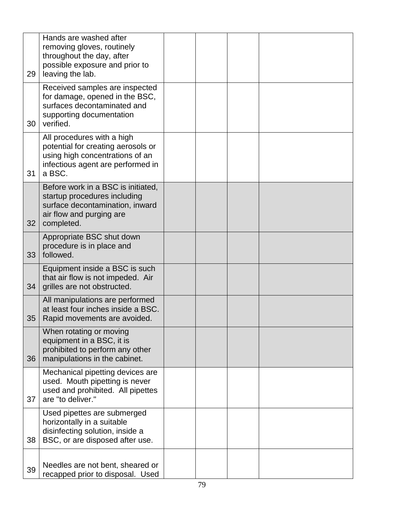| 29 | Hands are washed after<br>removing gloves, routinely<br>throughout the day, after<br>possible exposure and prior to<br>leaving the lab.            |  |  |
|----|----------------------------------------------------------------------------------------------------------------------------------------------------|--|--|
| 30 | Received samples are inspected<br>for damage, opened in the BSC,<br>surfaces decontaminated and<br>supporting documentation<br>verified.           |  |  |
| 31 | All procedures with a high<br>potential for creating aerosols or<br>using high concentrations of an<br>infectious agent are performed in<br>a BSC. |  |  |
| 32 | Before work in a BSC is initiated,<br>startup procedures including<br>surface decontamination, inward<br>air flow and purging are<br>completed.    |  |  |
| 33 | Appropriate BSC shut down<br>procedure is in place and<br>followed.                                                                                |  |  |
| 34 | Equipment inside a BSC is such<br>that air flow is not impeded. Air<br>grilles are not obstructed.                                                 |  |  |
| 35 | All manipulations are performed<br>at least four inches inside a BSC.<br>Rapid movements are avoided.                                              |  |  |
| 36 | When rotating or moving<br>equipment in a BSC, it is<br>prohibited to perform any other<br>manipulations in the cabinet.                           |  |  |
| 37 | Mechanical pipetting devices are<br>used. Mouth pipetting is never<br>used and prohibited. All pipettes<br>are "to deliver."                       |  |  |
| 38 | Used pipettes are submerged<br>horizontally in a suitable<br>disinfecting solution, inside a<br>BSC, or are disposed after use.                    |  |  |
| 39 | Needles are not bent, sheared or<br>recapped prior to disposal. Used                                                                               |  |  |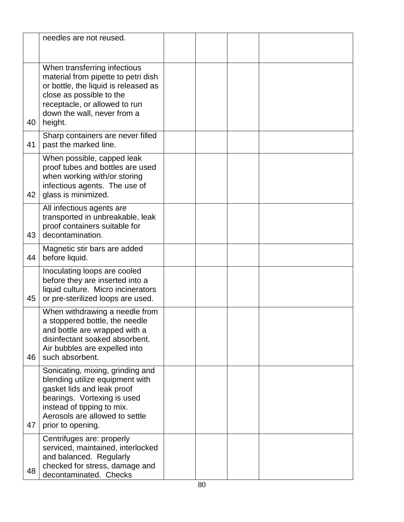|    | needles are not reused.                                                                                                                                                                                               |  |  |
|----|-----------------------------------------------------------------------------------------------------------------------------------------------------------------------------------------------------------------------|--|--|
| 40 | When transferring infectious<br>material from pipette to petri dish<br>or bottle, the liquid is released as<br>close as possible to the<br>receptacle, or allowed to run<br>down the wall, never from a<br>height.    |  |  |
| 41 | Sharp containers are never filled<br>past the marked line.                                                                                                                                                            |  |  |
| 42 | When possible, capped leak<br>proof tubes and bottles are used<br>when working with/or storing<br>infectious agents. The use of<br>glass is minimized.                                                                |  |  |
| 43 | All infectious agents are<br>transported in unbreakable, leak<br>proof containers suitable for<br>decontamination.                                                                                                    |  |  |
| 44 | Magnetic stir bars are added<br>before liquid.                                                                                                                                                                        |  |  |
| 45 | Inoculating loops are cooled<br>before they are inserted into a<br>liquid culture. Micro incinerators<br>or pre-sterilized loops are used.                                                                            |  |  |
| 46 | When withdrawing a needle from<br>a stoppered bottle, the needle<br>and bottle are wrapped with a<br>disinfectant soaked absorbent.<br>Air bubbles are expelled into<br>such absorbent.                               |  |  |
| 47 | Sonicating, mixing, grinding and<br>blending utilize equipment with<br>gasket lids and leak proof<br>bearings. Vortexing is used<br>instead of tipping to mix.<br>Aerosols are allowed to settle<br>prior to opening. |  |  |
| 48 | Centrifuges are: properly<br>serviced, maintained, interlocked<br>and balanced. Regularly<br>checked for stress, damage and<br>decontaminated. Checks                                                                 |  |  |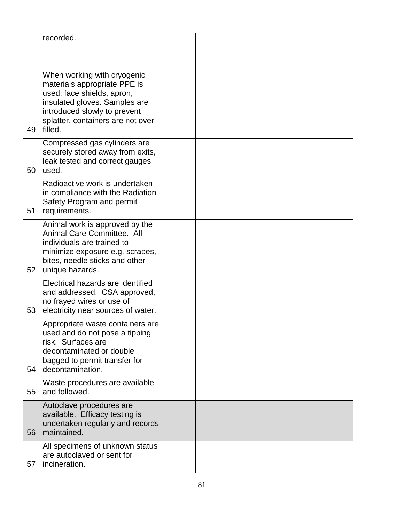|    | recorded.                                                                                                                                                                                                   |  |  |
|----|-------------------------------------------------------------------------------------------------------------------------------------------------------------------------------------------------------------|--|--|
|    |                                                                                                                                                                                                             |  |  |
| 49 | When working with cryogenic<br>materials appropriate PPE is<br>used: face shields, apron,<br>insulated gloves. Samples are<br>introduced slowly to prevent<br>splatter, containers are not over-<br>filled. |  |  |
| 50 | Compressed gas cylinders are<br>securely stored away from exits,<br>leak tested and correct gauges<br>used.                                                                                                 |  |  |
| 51 | Radioactive work is undertaken<br>in compliance with the Radiation<br>Safety Program and permit<br>requirements.                                                                                            |  |  |
| 52 | Animal work is approved by the<br>Animal Care Committee. All<br>individuals are trained to<br>minimize exposure e.g. scrapes,<br>bites, needle sticks and other<br>unique hazards.                          |  |  |
| 53 | Electrical hazards are identified<br>and addressed. CSA approved,<br>no frayed wires or use of<br>electricity near sources of water.                                                                        |  |  |
| 54 | Appropriate waste containers are<br>used and do not pose a tipping<br>risk. Surfaces are<br>decontaminated or double<br>bagged to permit transfer for<br>decontamination.                                   |  |  |
| 55 | Waste procedures are available<br>and followed.                                                                                                                                                             |  |  |
| 56 | Autoclave procedures are<br>available. Efficacy testing is<br>undertaken regularly and records<br>maintained.                                                                                               |  |  |
| 57 | All specimens of unknown status<br>are autoclaved or sent for<br>incineration.                                                                                                                              |  |  |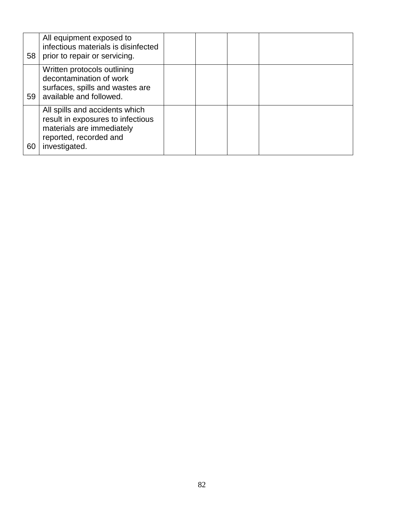| 58 | All equipment exposed to<br>infectious materials is disinfected<br>prior to repair or servicing.                                            |  |  |
|----|---------------------------------------------------------------------------------------------------------------------------------------------|--|--|
| 59 | Written protocols outlining<br>decontamination of work<br>surfaces, spills and wastes are<br>available and followed.                        |  |  |
| 60 | All spills and accidents which<br>result in exposures to infectious<br>materials are immediately<br>reported, recorded and<br>investigated. |  |  |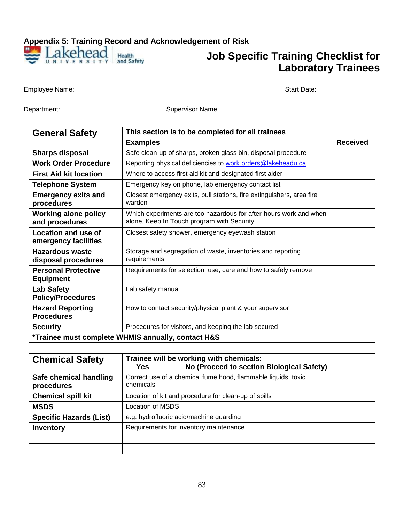**Appendix 5: Training Record and Acknowledgement of Risk**  akehead **Health**<br>and Safety **U N I** 

## **Job Specific Training Checklist for Laboratory Trainees**

Employee Name: Start Date: Start Date: Start Date: Start Date: Start Date:

Department: Supervisor Name:

|                                                    | This section is to be completed for all trainees                                                                |                 |  |
|----------------------------------------------------|-----------------------------------------------------------------------------------------------------------------|-----------------|--|
| <b>General Safety</b>                              |                                                                                                                 |                 |  |
|                                                    | <b>Examples</b>                                                                                                 | <b>Received</b> |  |
| <b>Sharps disposal</b>                             | Safe clean-up of sharps, broken glass bin, disposal procedure                                                   |                 |  |
| <b>Work Order Procedure</b>                        | Reporting physical deficiencies to work.orders@lakeheadu.ca                                                     |                 |  |
| <b>First Aid kit location</b>                      | Where to access first aid kit and designated first aider                                                        |                 |  |
| <b>Telephone System</b>                            | Emergency key on phone, lab emergency contact list                                                              |                 |  |
| <b>Emergency exits and</b><br>procedures           | Closest emergency exits, pull stations, fire extinguishers, area fire<br>warden                                 |                 |  |
| <b>Working alone policy</b><br>and procedures      | Which experiments are too hazardous for after-hours work and when<br>alone, Keep In Touch program with Security |                 |  |
| <b>Location and use of</b><br>emergency facilities | Closest safety shower, emergency eyewash station                                                                |                 |  |
| Hazardous waste<br>disposal procedures             | Storage and segregation of waste, inventories and reporting<br>requirements                                     |                 |  |
| <b>Personal Protective</b><br><b>Equipment</b>     | Requirements for selection, use, care and how to safely remove                                                  |                 |  |
| <b>Lab Safety</b><br><b>Policy/Procedures</b>      | Lab safety manual                                                                                               |                 |  |
| <b>Hazard Reporting</b><br><b>Procedures</b>       | How to contact security/physical plant & your supervisor                                                        |                 |  |
| <b>Security</b>                                    | Procedures for visitors, and keeping the lab secured                                                            |                 |  |
| *Trainee must complete WHMIS annually, contact H&S |                                                                                                                 |                 |  |
|                                                    |                                                                                                                 |                 |  |

| <b>Chemical Safety</b>               | Trainee will be working with chemicals:<br>No (Proceed to section Biological Safety)<br>Yes |  |
|--------------------------------------|---------------------------------------------------------------------------------------------|--|
| Safe chemical handling<br>procedures | Correct use of a chemical fume hood, flammable liquids, toxic<br>chemicals                  |  |
| <b>Chemical spill kit</b>            | Location of kit and procedure for clean-up of spills                                        |  |
| <b>MSDS</b>                          | Location of MSDS                                                                            |  |
| <b>Specific Hazards (List)</b>       | e.g. hydrofluoric acid/machine guarding                                                     |  |
| <b>Inventory</b>                     | Requirements for inventory maintenance                                                      |  |
|                                      |                                                                                             |  |
|                                      |                                                                                             |  |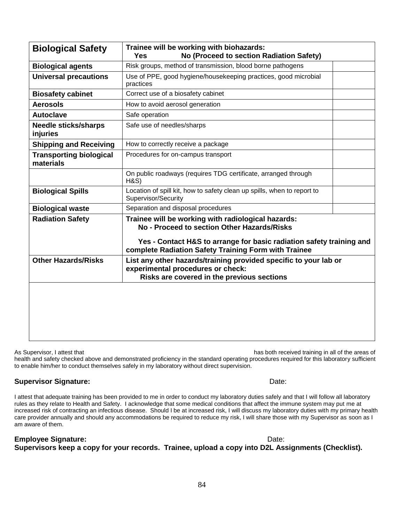| <b>Biological Safety</b>                    | Trainee will be working with biohazards:<br>No (Proceed to section Radiation Safety)<br><b>Yes</b>                                                                                                                                |  |
|---------------------------------------------|-----------------------------------------------------------------------------------------------------------------------------------------------------------------------------------------------------------------------------------|--|
| <b>Biological agents</b>                    | Risk groups, method of transmission, blood borne pathogens                                                                                                                                                                        |  |
| <b>Universal precautions</b>                | Use of PPE, good hygiene/housekeeping practices, good microbial<br>practices                                                                                                                                                      |  |
| <b>Biosafety cabinet</b>                    | Correct use of a biosafety cabinet                                                                                                                                                                                                |  |
| <b>Aerosols</b>                             | How to avoid aerosol generation                                                                                                                                                                                                   |  |
| <b>Autoclave</b>                            | Safe operation                                                                                                                                                                                                                    |  |
| <b>Needle sticks/sharps</b><br>injuries     | Safe use of needles/sharps                                                                                                                                                                                                        |  |
| <b>Shipping and Receiving</b>               | How to correctly receive a package                                                                                                                                                                                                |  |
| <b>Transporting biological</b><br>materials | Procedures for on-campus transport                                                                                                                                                                                                |  |
|                                             | On public roadways (requires TDG certificate, arranged through<br><b>H&amp;S)</b>                                                                                                                                                 |  |
| <b>Biological Spills</b>                    | Location of spill kit, how to safety clean up spills, when to report to<br>Supervisor/Security                                                                                                                                    |  |
| <b>Biological waste</b>                     | Separation and disposal procedures                                                                                                                                                                                                |  |
| <b>Radiation Safety</b>                     | Trainee will be working with radiological hazards:<br>No - Proceed to section Other Hazards/Risks<br>Yes - Contact H&S to arrange for basic radiation safety training and<br>complete Radiation Safety Training Form with Trainee |  |
| <b>Other Hazards/Risks</b>                  | List any other hazards/training provided specific to your lab or<br>experimental procedures or check:<br>Risks are covered in the previous sections                                                                               |  |
|                                             |                                                                                                                                                                                                                                   |  |

As Supervisor, I attest that has both received training in all of the areas of health and safety checked above and demonstrated proficiency in the standard operating procedures required for this laboratory sufficient

to enable him/her to conduct themselves safely in my laboratory without direct supervision.

#### **Supervisor Signature:** Date: Date: Date: Date: Date: Date: Date: Date: Date: Date: Date: Date: Date: Date: Date: Date: Date: Date: Date: Date: Date: Date: Date: Date: Date: Date: Date: Date: Date: Date: Date: Date: Date:

I attest that adequate training has been provided to me in order to conduct my laboratory duties safely and that I will follow all laboratory rules as they relate to Health and Safety. I acknowledge that some medical conditions that affect the immune system may put me at increased risk of contracting an infectious disease. Should I be at increased risk, I will discuss my laboratory duties with my primary health care provider annually and should any accommodations be required to reduce my risk, I will share those with my Supervisor as soon as I am aware of them.

### **Employee Signature:**  $\blacksquare$

**Supervisors keep a copy for your records. Trainee, upload a copy into D2L Assignments (Checklist).**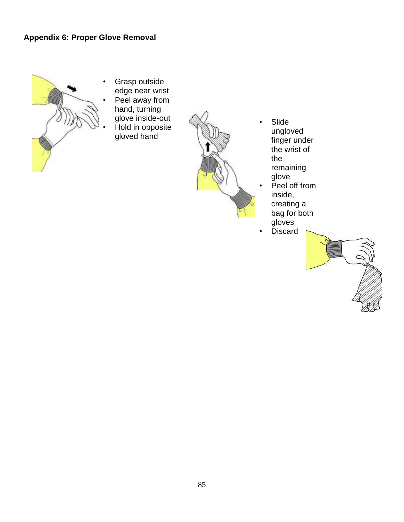

Grasp outside edge near wrist Peel away from hand, turning glove inside-out • Hold in opposite gloved hand



**Slide** ungloved finger under the wrist of the remaining glove • Peel off from inside, creating a bag for both gloves **Discard**